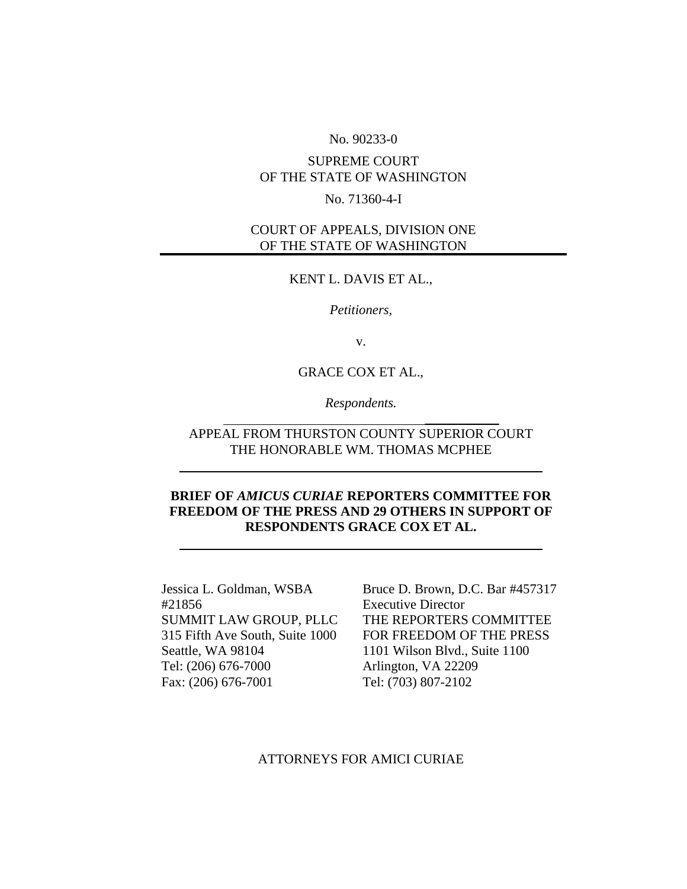#### No. 90233-0

# SUPREME COURT OF THE STATE OF WASHINGTON

#### No. 71360-4-I

## COURT OF APPEALS, DIVISION ONE OF THE STATE OF WASHINGTON

#### KENT L. DAVIS ET AL.,

*Petitioners,* 

v.

GRACE COX ET AL.,

*Respondents.*   $\overline{\phantom{a}}$  , where  $\overline{\phantom{a}}$  , where  $\overline{\phantom{a}}$  , where  $\overline{\phantom{a}}$  , where  $\overline{\phantom{a}}$ 

# APPEAL FROM THURSTON COUNTY SUPERIOR COURT THE HONORABLE WM. THOMAS MCPHEE

## **BRIEF OF** *AMICUS CURIAE* **REPORTERS COMMITTEE FOR FREEDOM OF THE PRESS AND 29 OTHERS IN SUPPORT OF RESPONDENTS GRACE COX ET AL.**

Jessica L. Goldman, WSBA #21856 SUMMIT LAW GROUP, PLLC 315 Fifth Ave South, Suite 1000 Seattle, WA 98104 Tel: (206) 676-7000 Fax: (206) 676-7001

Bruce D. Brown, D.C. Bar #457317 Executive Director THE REPORTERS COMMITTEE FOR FREEDOM OF THE PRESS 1101 Wilson Blvd., Suite 1100 Arlington, VA 22209 Tel: (703) 807-2102

ATTORNEYS FOR AMICI CURIAE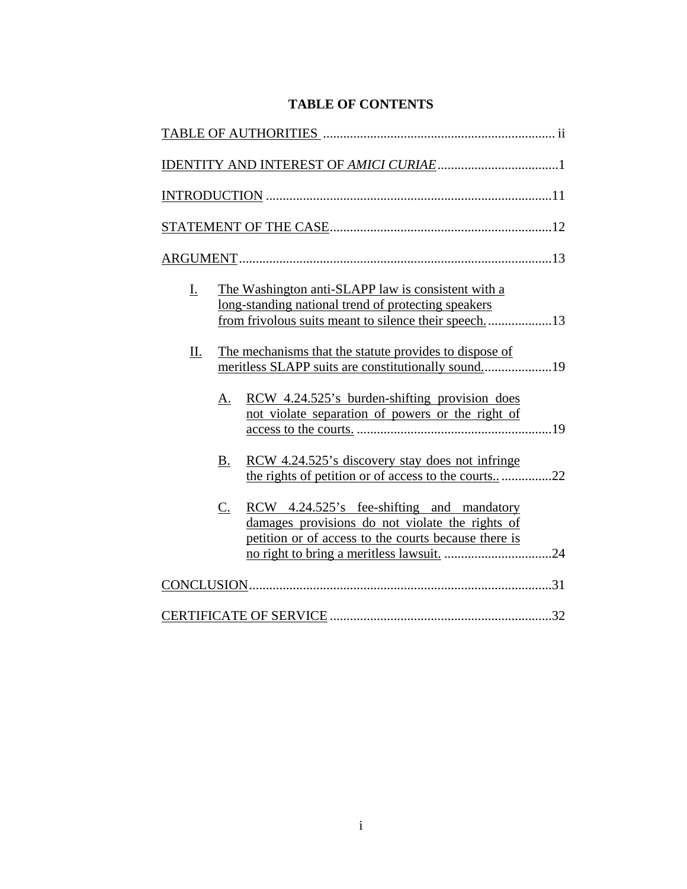# **TABLE OF CONTENTS**

| I. | The Washington anti-SLAPP law is consistent with a<br>long-standing national trend of protecting speakers                                                  |  |
|----|------------------------------------------------------------------------------------------------------------------------------------------------------------|--|
| П. | The mechanisms that the statute provides to dispose of<br>meritless SLAPP suits are constitutionally sound19                                               |  |
|    | RCW 4.24.525's burden-shifting provision does<br>A.<br>not violate separation of powers or the right of                                                    |  |
|    | RCW 4.24.525's discovery stay does not infringe<br>$B_{\cdot}$<br>the rights of petition or of access to the courts22                                      |  |
|    | RCW 4.24.525's fee-shifting and mandatory<br>C.<br>damages provisions do not violate the rights of<br>petition or of access to the courts because there is |  |
|    |                                                                                                                                                            |  |
|    |                                                                                                                                                            |  |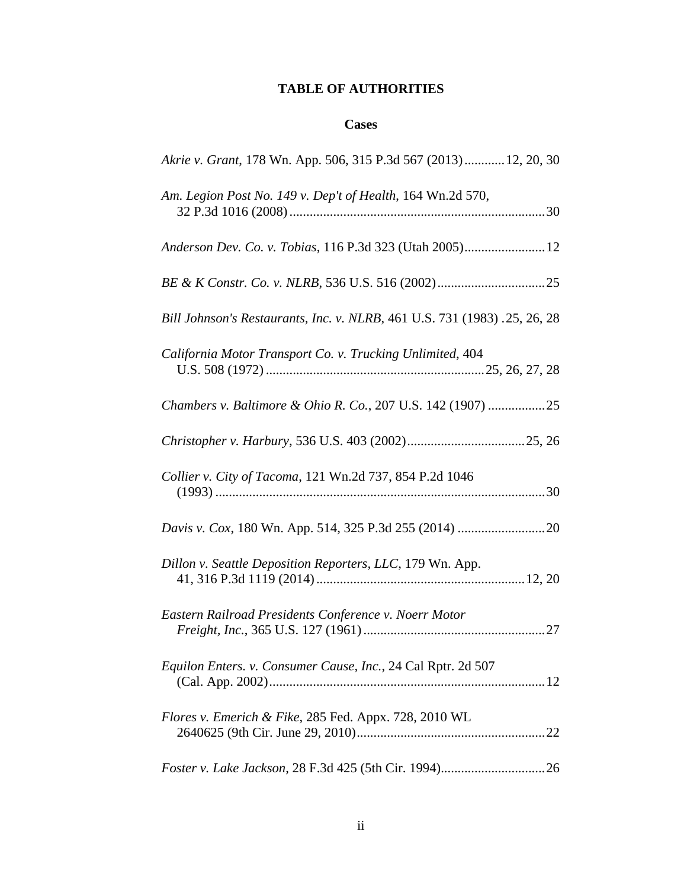# **TABLE OF AUTHORITIES**

# **Cases**

| Akrie v. Grant, 178 Wn. App. 506, 315 P.3d 567 (2013) 12, 20, 30          |
|---------------------------------------------------------------------------|
| Am. Legion Post No. 149 v. Dep't of Health, 164 Wn.2d 570,                |
|                                                                           |
|                                                                           |
| Bill Johnson's Restaurants, Inc. v. NLRB, 461 U.S. 731 (1983) .25, 26, 28 |
| California Motor Transport Co. v. Trucking Unlimited, 404                 |
|                                                                           |
|                                                                           |
|                                                                           |
| Collier v. City of Tacoma, 121 Wn.2d 737, 854 P.2d 1046                   |
|                                                                           |
| Dillon v. Seattle Deposition Reporters, LLC, 179 Wn. App.                 |
| Eastern Railroad Presidents Conference v. Noerr Motor                     |
| Equilon Enters. v. Consumer Cause, Inc., 24 Cal Rptr. 2d 507              |
| Flores v. Emerich & Fike, 285 Fed. Appx. 728, 2010 WL                     |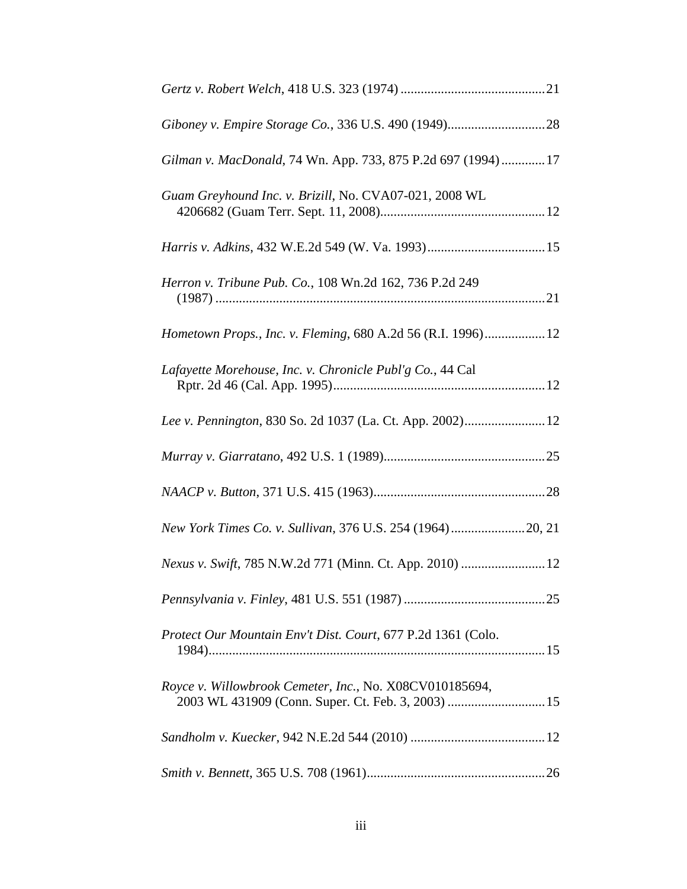| Gilman v. MacDonald, 74 Wn. App. 733, 875 P.2d 697 (1994) 17 |
|--------------------------------------------------------------|
| Guam Greyhound Inc. v. Brizill, No. CVA07-021, 2008 WL       |
|                                                              |
| Herron v. Tribune Pub. Co., 108 Wn.2d 162, 736 P.2d 249      |
| Hometown Props., Inc. v. Fleming, 680 A.2d 56 (R.I. 1996) 12 |
| Lafayette Morehouse, Inc. v. Chronicle Publ'g Co., 44 Cal    |
|                                                              |
|                                                              |
|                                                              |
|                                                              |
|                                                              |
|                                                              |
| Protect Our Mountain Env't Dist. Court, 677 P.2d 1361 (Colo. |
| Royce v. Willowbrook Cemeter, Inc., No. X08CV010185694,      |
|                                                              |
|                                                              |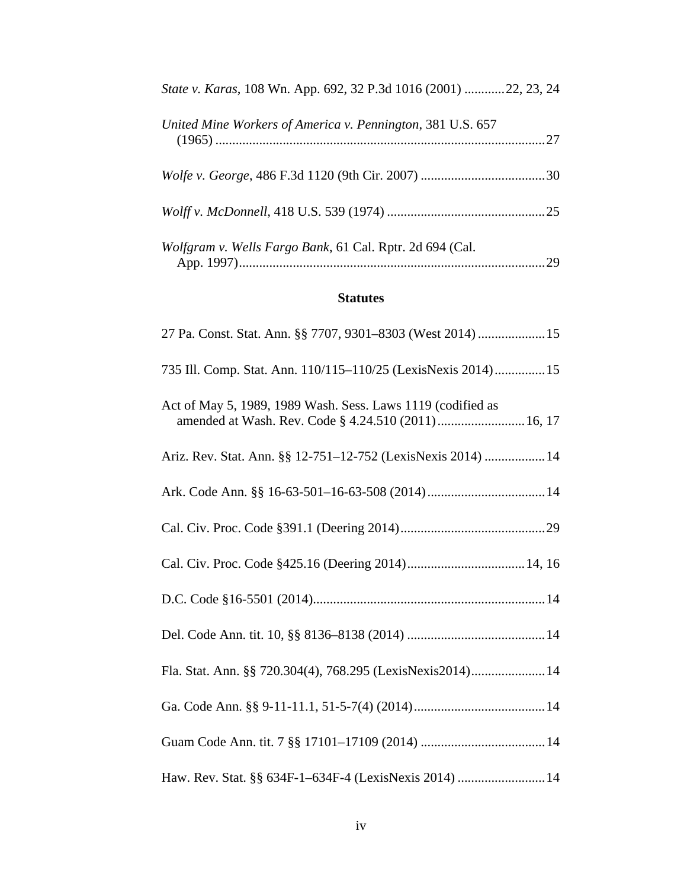| <i>State v. Karas, 108 Wn. App. 692, 32 P.3d 1016 (2001) 22, 23, 24</i> |    |
|-------------------------------------------------------------------------|----|
| United Mine Workers of America v. Pennington, 381 U.S. 657              |    |
|                                                                         |    |
|                                                                         |    |
| Wolfgram v. Wells Fargo Bank, 61 Cal. Rptr. 2d 694 (Cal.                | 29 |

# **Statutes**

| 27 Pa. Const. Stat. Ann. §§ 7707, 9301-8303 (West 2014)  15   |
|---------------------------------------------------------------|
| 735 Ill. Comp. Stat. Ann. 110/115-110/25 (LexisNexis 2014) 15 |
| Act of May 5, 1989, 1989 Wash. Sess. Laws 1119 (codified as   |
| Ariz. Rev. Stat. Ann. §§ 12-751-12-752 (LexisNexis 2014)  14  |
|                                                               |
|                                                               |
|                                                               |
|                                                               |
|                                                               |
| Fla. Stat. Ann. §§ 720.304(4), 768.295 (LexisNexis2014) 14    |
|                                                               |
|                                                               |
| Haw. Rev. Stat. §§ 634F-1-634F-4 (LexisNexis 2014)  14        |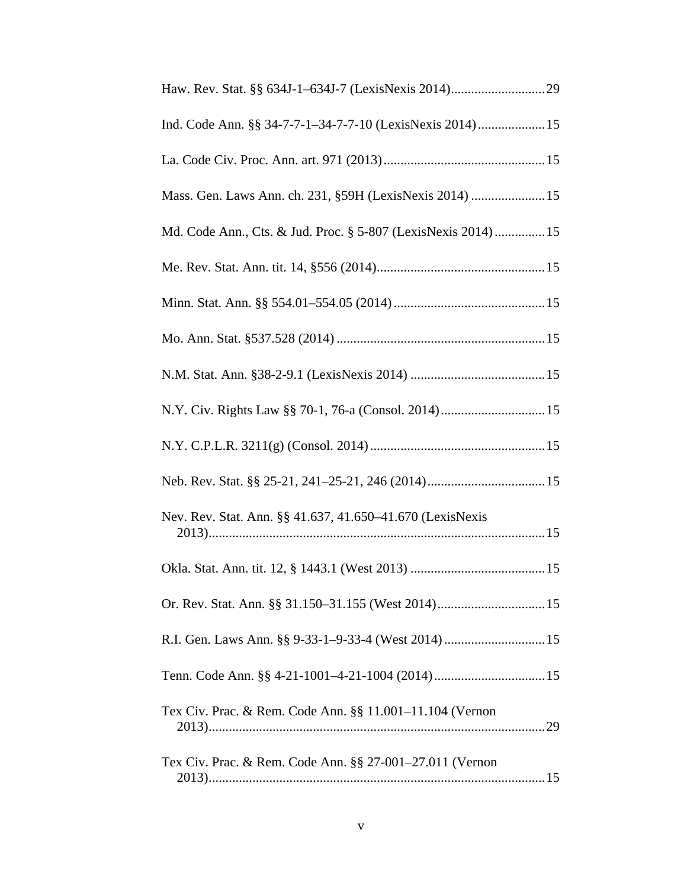| Ind. Code Ann. §§ 34-7-7-1-34-7-7-10 (LexisNexis 2014) 15     |
|---------------------------------------------------------------|
|                                                               |
| Mass. Gen. Laws Ann. ch. 231, §59H (LexisNexis 2014)  15      |
| Md. Code Ann., Cts. & Jud. Proc. § 5-807 (LexisNexis 2014) 15 |
|                                                               |
|                                                               |
|                                                               |
|                                                               |
| N.Y. Civ. Rights Law §§ 70-1, 76-a (Consol. 2014) 15          |
|                                                               |
|                                                               |
| Nev. Rev. Stat. Ann. §§ 41.637, 41.650–41.670 (LexisNexis     |
|                                                               |
|                                                               |
|                                                               |
|                                                               |
| Tex Civ. Prac. & Rem. Code Ann. §§ 11.001-11.104 (Vernon      |
| Tex Civ. Prac. & Rem. Code Ann. §§ 27-001–27.011 (Vernon      |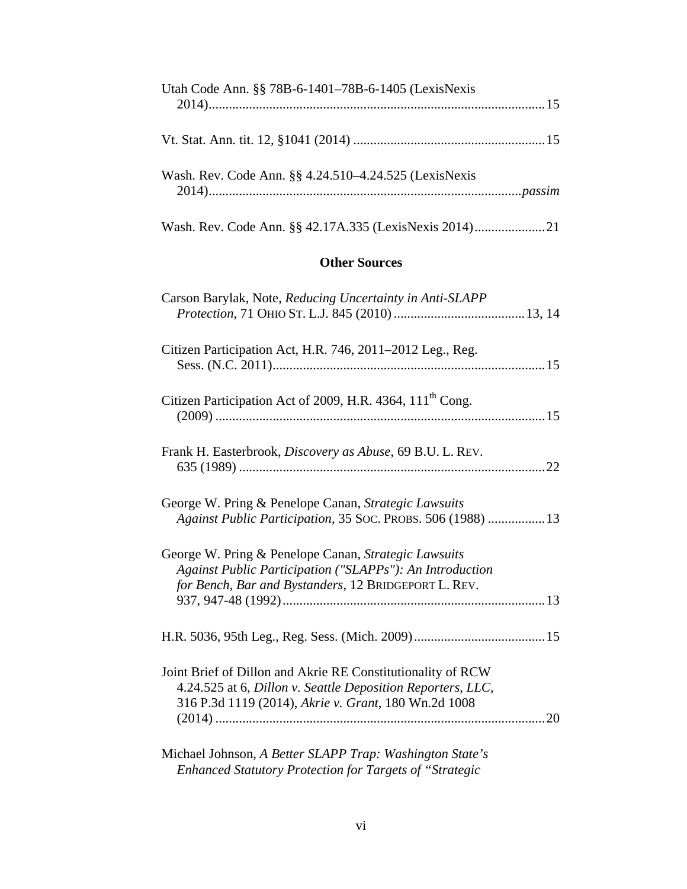| Utah Code Ann. §§ 78B-6-1401–78B-6-1405 (LexisNexis                                                                                                                                      |  |  |  |
|------------------------------------------------------------------------------------------------------------------------------------------------------------------------------------------|--|--|--|
|                                                                                                                                                                                          |  |  |  |
| Wash. Rev. Code Ann. §§ 4.24.510–4.24.525 (LexisNexis                                                                                                                                    |  |  |  |
|                                                                                                                                                                                          |  |  |  |
| <b>Other Sources</b>                                                                                                                                                                     |  |  |  |
| Carson Barylak, Note, Reducing Uncertainty in Anti-SLAPP                                                                                                                                 |  |  |  |
| Citizen Participation Act, H.R. 746, 2011–2012 Leg., Reg.                                                                                                                                |  |  |  |
| Citizen Participation Act of 2009, H.R. 4364, 111 <sup>th</sup> Cong.                                                                                                                    |  |  |  |
| Frank H. Easterbrook, Discovery as Abuse, 69 B.U. L. REV.                                                                                                                                |  |  |  |
| George W. Pring & Penelope Canan, Strategic Lawsuits<br>Against Public Participation, 35 Soc. PROBS. 506 (1988)  13                                                                      |  |  |  |
| George W. Pring & Penelope Canan, Strategic Lawsuits<br>Against Public Participation ("SLAPPs"): An Introduction<br>for Bench, Bar and Bystanders, 12 BRIDGEPORT L. REV.                 |  |  |  |
|                                                                                                                                                                                          |  |  |  |
| Joint Brief of Dillon and Akrie RE Constitutionality of RCW<br>4.24.525 at 6, Dillon v. Seattle Deposition Reporters, LLC,<br>316 P.3d 1119 (2014), Akrie v. Grant, 180 Wn.2d 1008<br>20 |  |  |  |
| Michael Johnson, A Better SLAPP Trap: Washington State's<br>Enhanced Statutory Protection for Targets of "Strategic                                                                      |  |  |  |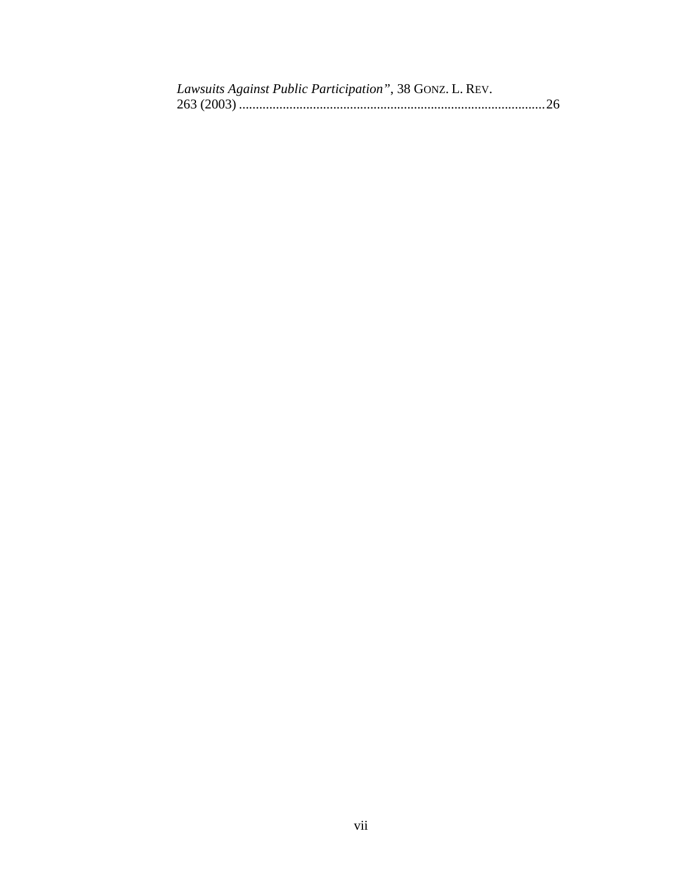| Lawsuits Against Public Participation", 38 GONZ. L. REV. |  |
|----------------------------------------------------------|--|
|                                                          |  |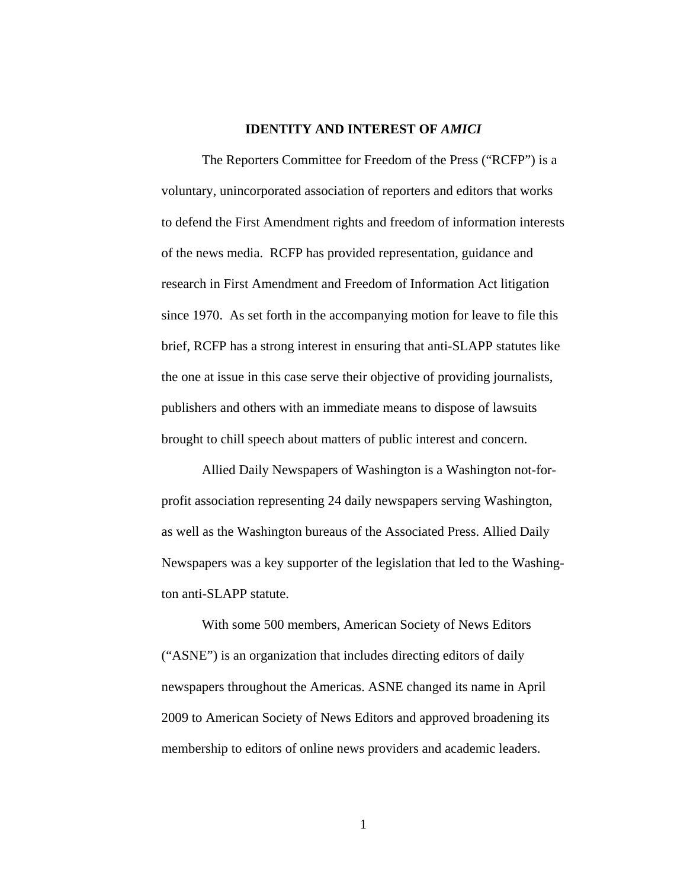### **IDENTITY AND INTEREST OF** *AMICI*

 The Reporters Committee for Freedom of the Press ("RCFP") is a voluntary, unincorporated association of reporters and editors that works to defend the First Amendment rights and freedom of information interests of the news media. RCFP has provided representation, guidance and research in First Amendment and Freedom of Information Act litigation since 1970. As set forth in the accompanying motion for leave to file this brief, RCFP has a strong interest in ensuring that anti-SLAPP statutes like the one at issue in this case serve their objective of providing journalists, publishers and others with an immediate means to dispose of lawsuits brought to chill speech about matters of public interest and concern.

Allied Daily Newspapers of Washington is a Washington not-forprofit association representing 24 daily newspapers serving Washington, as well as the Washington bureaus of the Associated Press. Allied Daily Newspapers was a key supporter of the legislation that led to the Washington anti-SLAPP statute.

With some 500 members, American Society of News Editors ("ASNE") is an organization that includes directing editors of daily newspapers throughout the Americas. ASNE changed its name in April 2009 to American Society of News Editors and approved broadening its membership to editors of online news providers and academic leaders.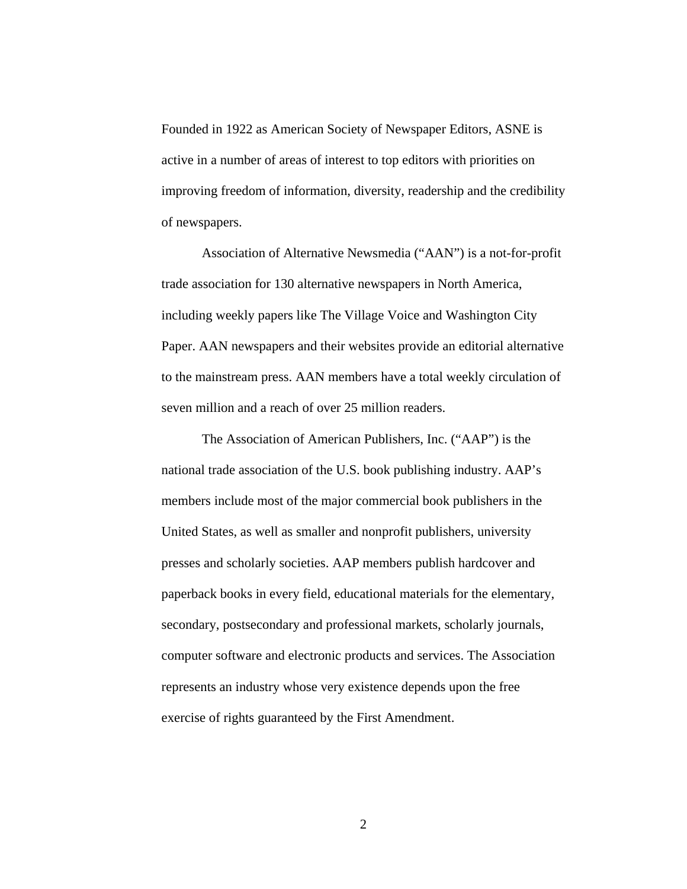Founded in 1922 as American Society of Newspaper Editors, ASNE is active in a number of areas of interest to top editors with priorities on improving freedom of information, diversity, readership and the credibility of newspapers.

Association of Alternative Newsmedia ("AAN") is a not-for-profit trade association for 130 alternative newspapers in North America, including weekly papers like The Village Voice and Washington City Paper. AAN newspapers and their websites provide an editorial alternative to the mainstream press. AAN members have a total weekly circulation of seven million and a reach of over 25 million readers.

The Association of American Publishers, Inc. ("AAP") is the national trade association of the U.S. book publishing industry. AAP's members include most of the major commercial book publishers in the United States, as well as smaller and nonprofit publishers, university presses and scholarly societies. AAP members publish hardcover and paperback books in every field, educational materials for the elementary, secondary, postsecondary and professional markets, scholarly journals, computer software and electronic products and services. The Association represents an industry whose very existence depends upon the free exercise of rights guaranteed by the First Amendment.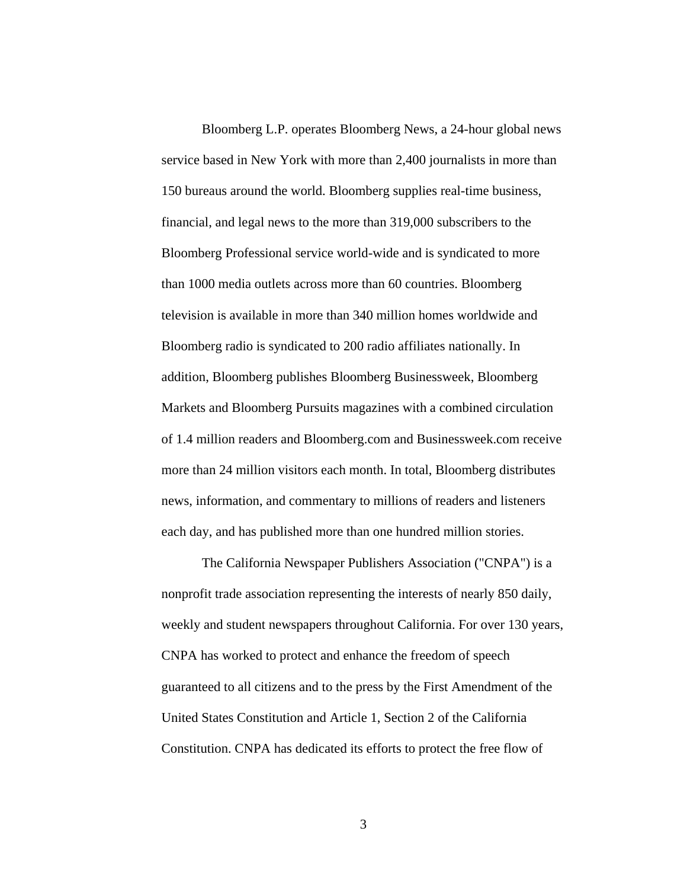Bloomberg L.P. operates Bloomberg News, a 24-hour global news service based in New York with more than 2,400 journalists in more than 150 bureaus around the world. Bloomberg supplies real-time business, financial, and legal news to the more than 319,000 subscribers to the Bloomberg Professional service world-wide and is syndicated to more than 1000 media outlets across more than 60 countries. Bloomberg television is available in more than 340 million homes worldwide and Bloomberg radio is syndicated to 200 radio affiliates nationally. In addition, Bloomberg publishes Bloomberg Businessweek, Bloomberg Markets and Bloomberg Pursuits magazines with a combined circulation of 1.4 million readers and Bloomberg.com and Businessweek.com receive more than 24 million visitors each month. In total, Bloomberg distributes news, information, and commentary to millions of readers and listeners each day, and has published more than one hundred million stories.

The California Newspaper Publishers Association ("CNPA") is a nonprofit trade association representing the interests of nearly 850 daily, weekly and student newspapers throughout California. For over 130 years, CNPA has worked to protect and enhance the freedom of speech guaranteed to all citizens and to the press by the First Amendment of the United States Constitution and Article 1, Section 2 of the California Constitution. CNPA has dedicated its efforts to protect the free flow of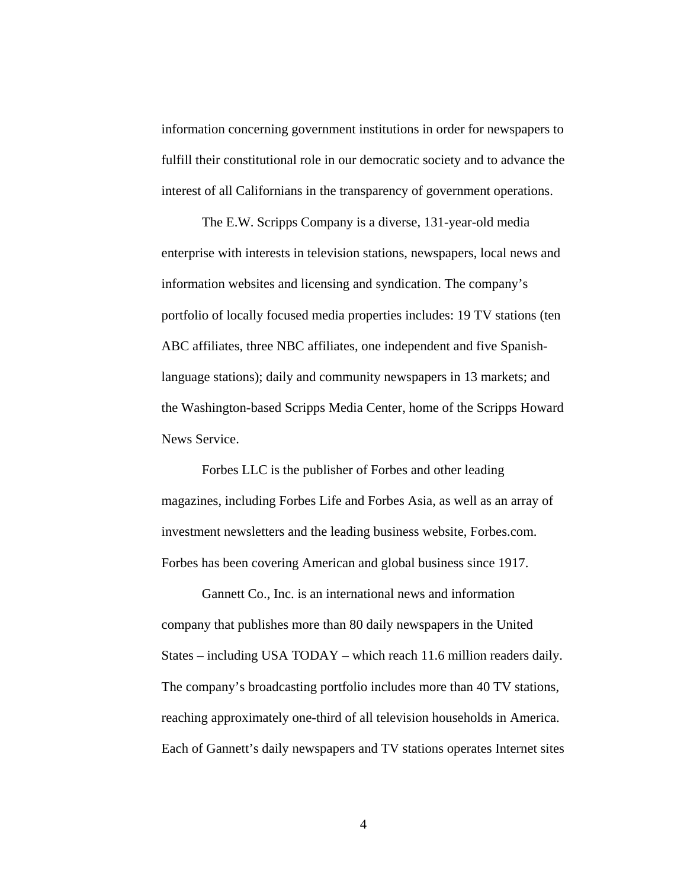information concerning government institutions in order for newspapers to fulfill their constitutional role in our democratic society and to advance the interest of all Californians in the transparency of government operations.

The E.W. Scripps Company is a diverse, 131-year-old media enterprise with interests in television stations, newspapers, local news and information websites and licensing and syndication. The company's portfolio of locally focused media properties includes: 19 TV stations (ten ABC affiliates, three NBC affiliates, one independent and five Spanishlanguage stations); daily and community newspapers in 13 markets; and the Washington-based Scripps Media Center, home of the Scripps Howard News Service.

Forbes LLC is the publisher of Forbes and other leading magazines, including Forbes Life and Forbes Asia, as well as an array of investment newsletters and the leading business website, Forbes.com. Forbes has been covering American and global business since 1917.

Gannett Co., Inc. is an international news and information company that publishes more than 80 daily newspapers in the United States – including USA TODAY – which reach 11.6 million readers daily. The company's broadcasting portfolio includes more than 40 TV stations, reaching approximately one-third of all television households in America. Each of Gannett's daily newspapers and TV stations operates Internet sites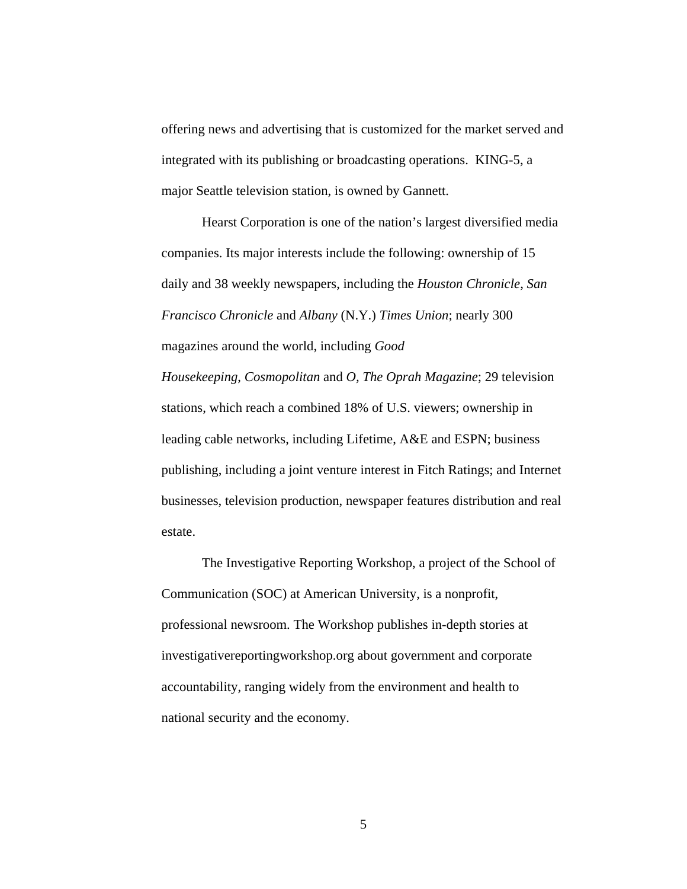offering news and advertising that is customized for the market served and integrated with its publishing or broadcasting operations. KING-5, a major Seattle television station, is owned by Gannett.

Hearst Corporation is one of the nation's largest diversified media companies. Its major interests include the following: ownership of 15 daily and 38 weekly newspapers, including the *Houston Chronicle*, *San Francisco Chronicle* and *Albany* (N.Y.) *Times Union*; nearly 300 magazines around the world, including *Good Housekeeping*, *Cosmopolitan* and *O, The Oprah Magazine*; 29 television stations, which reach a combined 18% of U.S. viewers; ownership in

leading cable networks, including Lifetime, A&E and ESPN; business publishing, including a joint venture interest in Fitch Ratings; and Internet businesses, television production, newspaper features distribution and real estate.

The Investigative Reporting Workshop, a project of the School of Communication (SOC) at American University, is a nonprofit, professional newsroom. The Workshop publishes in-depth stories at investigativereportingworkshop.org about government and corporate accountability, ranging widely from the environment and health to national security and the economy.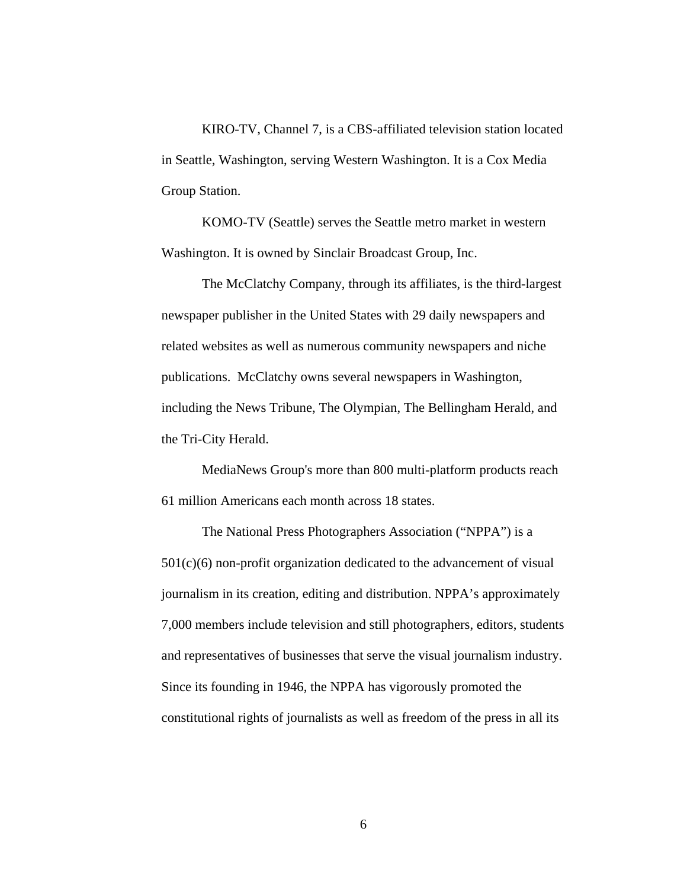KIRO-TV, Channel 7, is a CBS-affiliated television station located in Seattle, Washington, serving Western Washington. It is a Cox Media Group Station.

KOMO-TV (Seattle) serves the Seattle metro market in western Washington. It is owned by Sinclair Broadcast Group, Inc.

The McClatchy Company, through its affiliates, is the third-largest newspaper publisher in the United States with 29 daily newspapers and related websites as well as numerous community newspapers and niche publications. McClatchy owns several newspapers in Washington, including the News Tribune, The Olympian, The Bellingham Herald, and the Tri-City Herald.

MediaNews Group's more than 800 multi-platform products reach 61 million Americans each month across 18 states.

The National Press Photographers Association ("NPPA") is a  $501(c)(6)$  non-profit organization dedicated to the advancement of visual journalism in its creation, editing and distribution. NPPA's approximately 7,000 members include television and still photographers, editors, students and representatives of businesses that serve the visual journalism industry. Since its founding in 1946, the NPPA has vigorously promoted the constitutional rights of journalists as well as freedom of the press in all its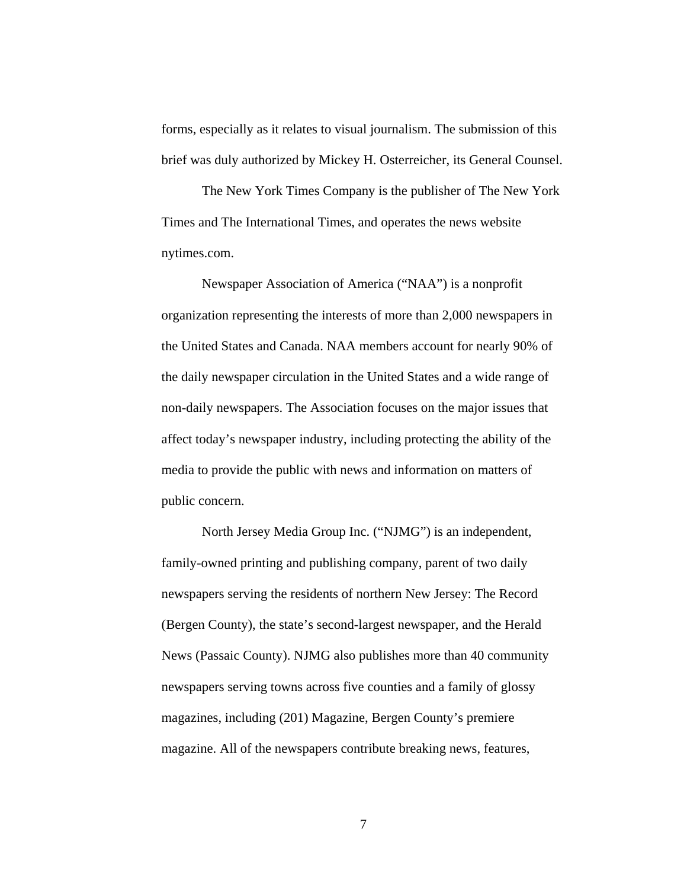forms, especially as it relates to visual journalism. The submission of this brief was duly authorized by Mickey H. Osterreicher, its General Counsel.

The New York Times Company is the publisher of The New York Times and The International Times, and operates the news website nytimes.com.

Newspaper Association of America ("NAA") is a nonprofit organization representing the interests of more than 2,000 newspapers in the United States and Canada. NAA members account for nearly 90% of the daily newspaper circulation in the United States and a wide range of non-daily newspapers. The Association focuses on the major issues that affect today's newspaper industry, including protecting the ability of the media to provide the public with news and information on matters of public concern.

North Jersey Media Group Inc. ("NJMG") is an independent, family-owned printing and publishing company, parent of two daily newspapers serving the residents of northern New Jersey: The Record (Bergen County), the state's second-largest newspaper, and the Herald News (Passaic County). NJMG also publishes more than 40 community newspapers serving towns across five counties and a family of glossy magazines, including (201) Magazine, Bergen County's premiere magazine. All of the newspapers contribute breaking news, features,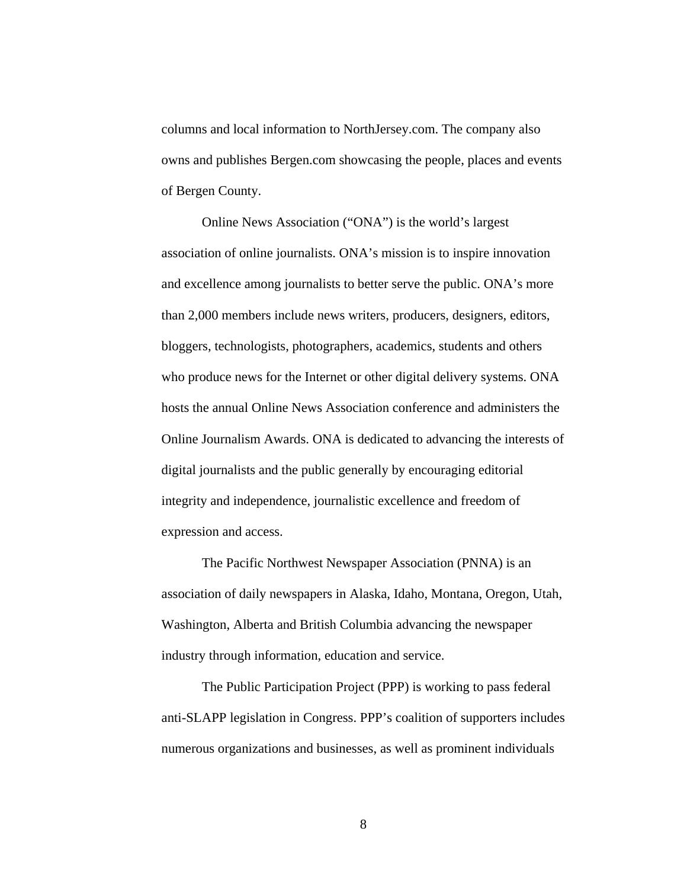columns and local information to NorthJersey.com. The company also owns and publishes Bergen.com showcasing the people, places and events of Bergen County.

Online News Association ("ONA") is the world's largest association of online journalists. ONA's mission is to inspire innovation and excellence among journalists to better serve the public. ONA's more than 2,000 members include news writers, producers, designers, editors, bloggers, technologists, photographers, academics, students and others who produce news for the Internet or other digital delivery systems. ONA hosts the annual Online News Association conference and administers the Online Journalism Awards. ONA is dedicated to advancing the interests of digital journalists and the public generally by encouraging editorial integrity and independence, journalistic excellence and freedom of expression and access.

The Pacific Northwest Newspaper Association (PNNA) is an association of daily newspapers in Alaska, Idaho, Montana, Oregon, Utah, Washington, Alberta and British Columbia advancing the newspaper industry through information, education and service.

The Public Participation Project (PPP) is working to pass federal anti-SLAPP legislation in Congress. PPP's coalition of supporters includes numerous organizations and businesses, as well as prominent individuals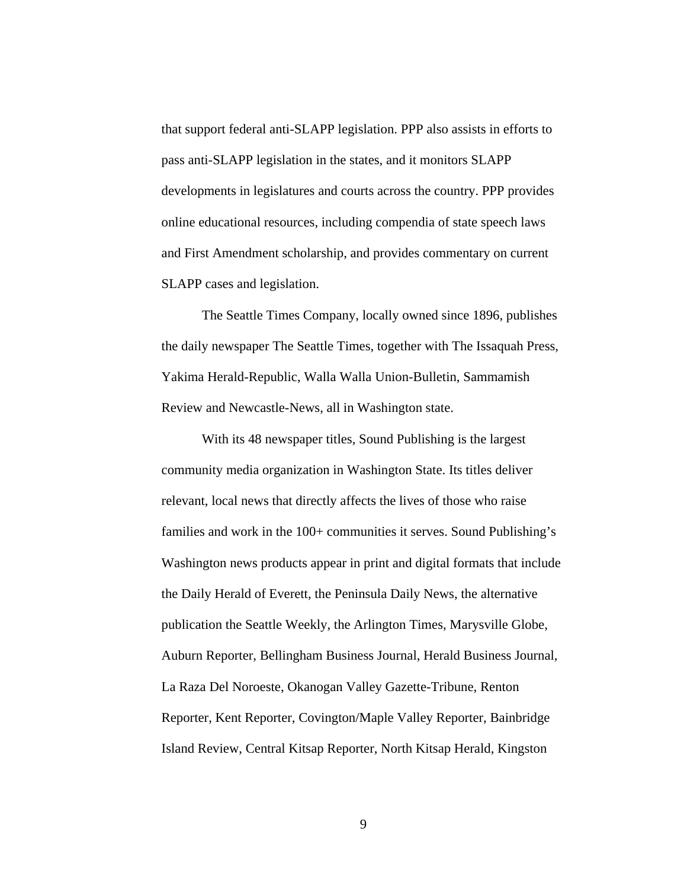that support federal anti-SLAPP legislation. PPP also assists in efforts to pass anti-SLAPP legislation in the states, and it monitors SLAPP developments in legislatures and courts across the country. PPP provides online educational resources, including compendia of state speech laws and First Amendment scholarship, and provides commentary on current SLAPP cases and legislation.

The Seattle Times Company, locally owned since 1896, publishes the daily newspaper The Seattle Times, together with The Issaquah Press, Yakima Herald-Republic, Walla Walla Union-Bulletin, Sammamish Review and Newcastle-News, all in Washington state.

With its 48 newspaper titles, Sound Publishing is the largest community media organization in Washington State. Its titles deliver relevant, local news that directly affects the lives of those who raise families and work in the 100+ communities it serves. Sound Publishing's Washington news products appear in print and digital formats that include the Daily Herald of Everett, the Peninsula Daily News, the alternative publication the Seattle Weekly, the Arlington Times, Marysville Globe, Auburn Reporter, Bellingham Business Journal, Herald Business Journal, La Raza Del Noroeste, Okanogan Valley Gazette-Tribune, Renton Reporter, Kent Reporter, Covington/Maple Valley Reporter, Bainbridge Island Review, Central Kitsap Reporter, North Kitsap Herald, Kingston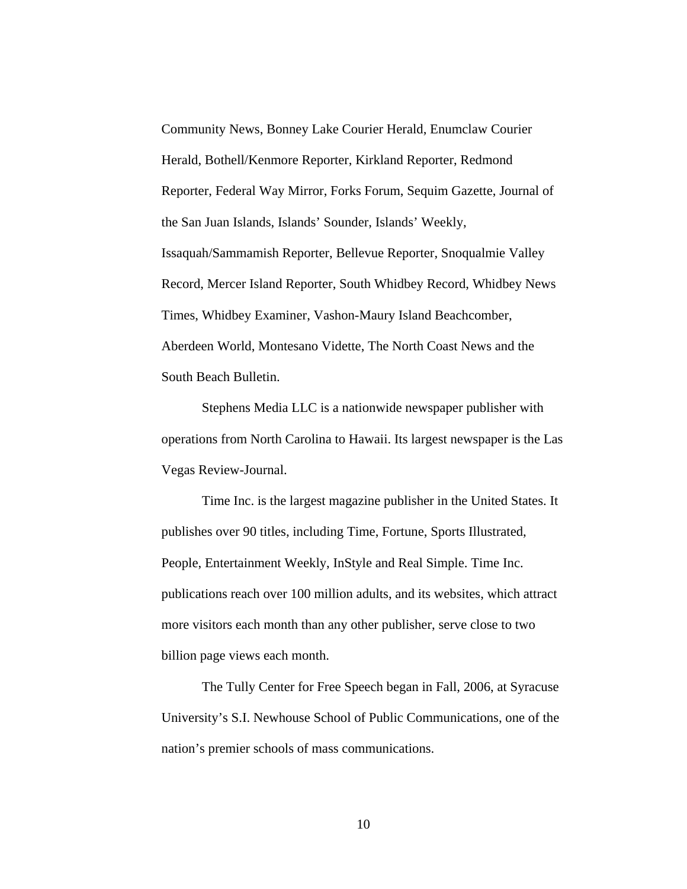Community News, Bonney Lake Courier Herald, Enumclaw Courier Herald, Bothell/Kenmore Reporter, Kirkland Reporter, Redmond Reporter, Federal Way Mirror, Forks Forum, Sequim Gazette, Journal of the San Juan Islands, Islands' Sounder, Islands' Weekly, Issaquah/Sammamish Reporter, Bellevue Reporter, Snoqualmie Valley Record, Mercer Island Reporter, South Whidbey Record, Whidbey News Times, Whidbey Examiner, Vashon-Maury Island Beachcomber, Aberdeen World, Montesano Vidette, The North Coast News and the South Beach Bulletin.

Stephens Media LLC is a nationwide newspaper publisher with operations from North Carolina to Hawaii. Its largest newspaper is the Las Vegas Review-Journal.

Time Inc. is the largest magazine publisher in the United States. It publishes over 90 titles, including Time, Fortune, Sports Illustrated, People, Entertainment Weekly, InStyle and Real Simple. Time Inc. publications reach over 100 million adults, and its websites, which attract more visitors each month than any other publisher, serve close to two billion page views each month.

The Tully Center for Free Speech began in Fall, 2006, at Syracuse University's S.I. Newhouse School of Public Communications, one of the nation's premier schools of mass communications.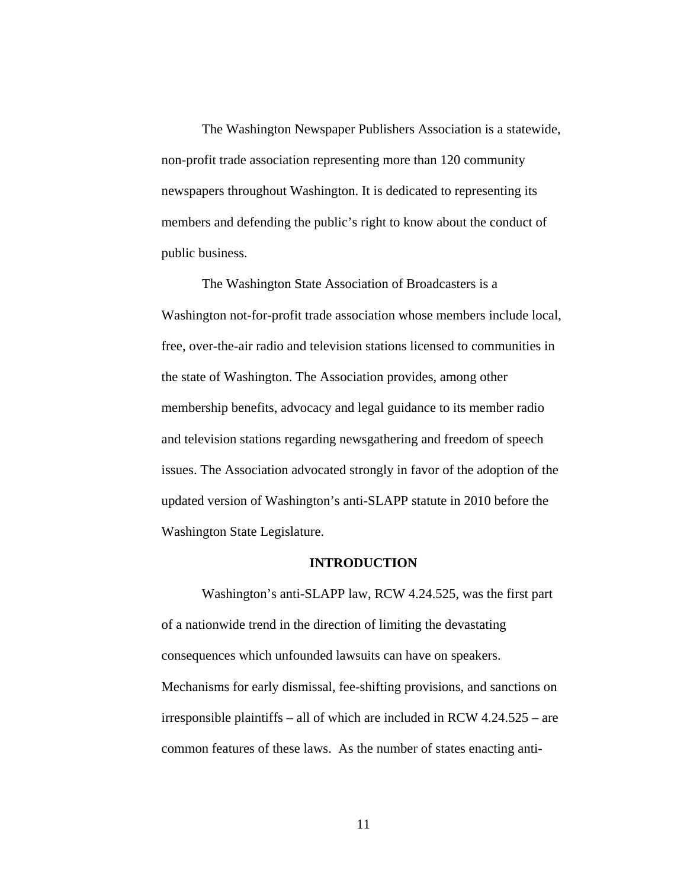The Washington Newspaper Publishers Association is a statewide, non-profit trade association representing more than 120 community newspapers throughout Washington. It is dedicated to representing its members and defending the public's right to know about the conduct of public business.

The Washington State Association of Broadcasters is a Washington not-for-profit trade association whose members include local, free, over-the-air radio and television stations licensed to communities in the state of Washington. The Association provides, among other membership benefits, advocacy and legal guidance to its member radio and television stations regarding newsgathering and freedom of speech issues. The Association advocated strongly in favor of the adoption of the updated version of Washington's anti-SLAPP statute in 2010 before the Washington State Legislature.

#### **INTRODUCTION**

 Washington's anti-SLAPP law, RCW 4.24.525, was the first part of a nationwide trend in the direction of limiting the devastating consequences which unfounded lawsuits can have on speakers. Mechanisms for early dismissal, fee-shifting provisions, and sanctions on irresponsible plaintiffs – all of which are included in RCW 4.24.525 – are common features of these laws. As the number of states enacting anti-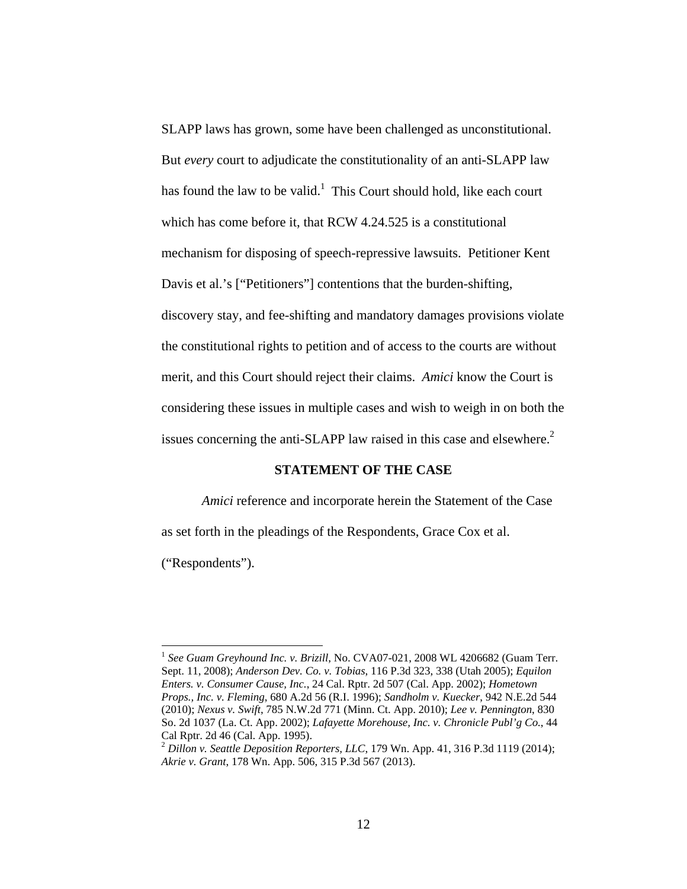SLAPP laws has grown, some have been challenged as unconstitutional. But *every* court to adjudicate the constitutionality of an anti-SLAPP law has found the law to be valid.<sup>1</sup> This Court should hold, like each court which has come before it, that RCW 4.24.525 is a constitutional mechanism for disposing of speech-repressive lawsuits. Petitioner Kent Davis et al.'s ["Petitioners"] contentions that the burden-shifting, discovery stay, and fee-shifting and mandatory damages provisions violate the constitutional rights to petition and of access to the courts are without merit, and this Court should reject their claims. *Amici* know the Court is considering these issues in multiple cases and wish to weigh in on both the issues concerning the anti-SLAPP law raised in this case and elsewhere.<sup>2</sup>

## **STATEMENT OF THE CASE**

*Amici* reference and incorporate herein the Statement of the Case as set forth in the pleadings of the Respondents, Grace Cox et al.

("Respondents").

<sup>&</sup>lt;sup>1</sup> See Guam Greyhound Inc. v. Brizill, No. CVA07-021, 2008 WL 4206682 (Guam Terr. Sept. 11, 2008); *Anderson Dev. Co. v. Tobias*, 116 P.3d 323, 338 (Utah 2005); *Equilon Enters. v. Consumer Cause, Inc.*, 24 Cal. Rptr. 2d 507 (Cal. App. 2002); *Hometown Props., Inc. v. Fleming*, 680 A.2d 56 (R.I. 1996); *Sandholm v. Kuecker*, 942 N.E.2d 544 (2010); *Nexus v. Swift*, 785 N.W.2d 771 (Minn. Ct. App. 2010); *Lee v. Pennington*, 830 So. 2d 1037 (La. Ct. App. 2002); *Lafayette Morehouse, Inc. v. Chronicle Publ'g Co.*, 44 Cal Rptr. 2d 46 (Cal. App. 1995).

<sup>2</sup> *Dillon v. Seattle Deposition Reporters, LLC*, 179 Wn. App. 41, 316 P.3d 1119 (2014); *Akrie v. Grant*, 178 Wn. App. 506, 315 P.3d 567 (2013).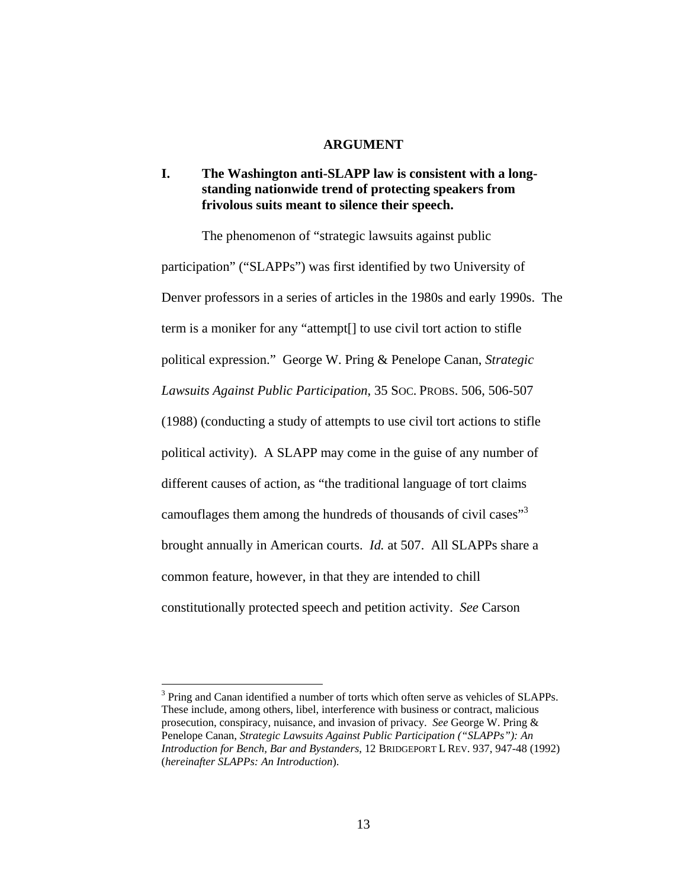#### **ARGUMENT**

# **I. The Washington anti-SLAPP law is consistent with a longstanding nationwide trend of protecting speakers from frivolous suits meant to silence their speech.**

 The phenomenon of "strategic lawsuits against public participation" ("SLAPPs") was first identified by two University of Denver professors in a series of articles in the 1980s and early 1990s. The term is a moniker for any "attempt[] to use civil tort action to stifle political expression." George W. Pring & Penelope Canan, *Strategic Lawsuits Against Public Participation*, 35 SOC. PROBS. 506, 506-507 (1988) (conducting a study of attempts to use civil tort actions to stifle political activity). A SLAPP may come in the guise of any number of different causes of action, as "the traditional language of tort claims camouflages them among the hundreds of thousands of civil cases<sup>"3</sup> brought annually in American courts. *Id.* at 507. All SLAPPs share a common feature, however, in that they are intended to chill constitutionally protected speech and petition activity. *See* Carson

<sup>&</sup>lt;sup>3</sup> Pring and Canan identified a number of torts which often serve as vehicles of SLAPPs. These include, among others, libel, interference with business or contract, malicious prosecution, conspiracy, nuisance, and invasion of privacy. *See* George W. Pring & Penelope Canan, *Strategic Lawsuits Against Public Participation ("SLAPPs"): An Introduction for Bench, Bar and Bystanders*, 12 BRIDGEPORT L REV. 937, 947-48 (1992) (*hereinafter SLAPPs: An Introduction*).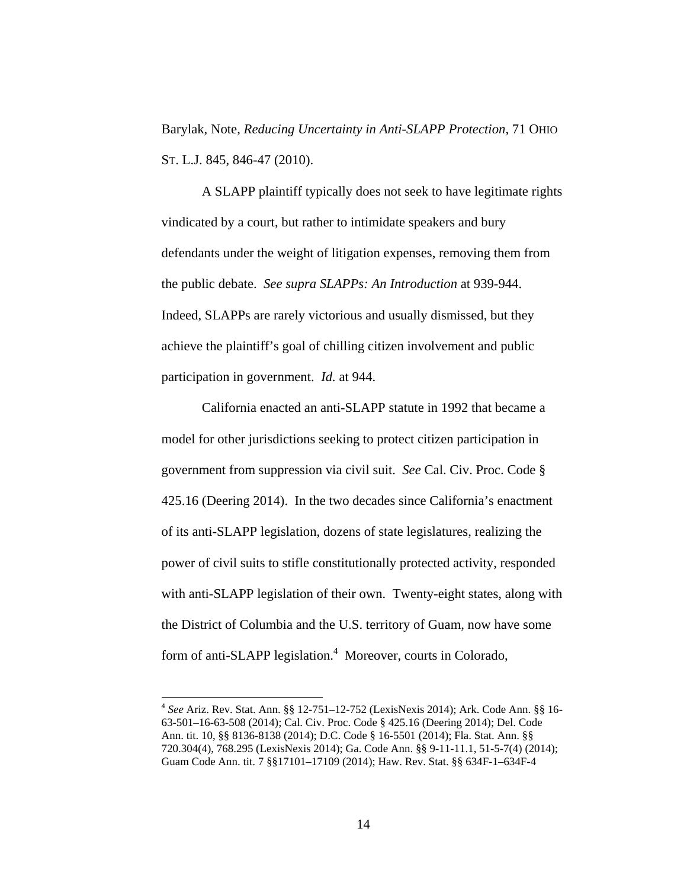Barylak, Note, *Reducing Uncertainty in Anti-SLAPP Protection*, 71 OHIO ST. L.J. 845, 846-47 (2010).

 A SLAPP plaintiff typically does not seek to have legitimate rights vindicated by a court, but rather to intimidate speakers and bury defendants under the weight of litigation expenses, removing them from the public debate. *See supra SLAPPs: An Introduction* at 939-944. Indeed, SLAPPs are rarely victorious and usually dismissed, but they achieve the plaintiff's goal of chilling citizen involvement and public participation in government. *Id.* at 944.

 California enacted an anti-SLAPP statute in 1992 that became a model for other jurisdictions seeking to protect citizen participation in government from suppression via civil suit. *See* Cal. Civ. Proc. Code § 425.16 (Deering 2014). In the two decades since California's enactment of its anti-SLAPP legislation, dozens of state legislatures, realizing the power of civil suits to stifle constitutionally protected activity, responded with anti-SLAPP legislation of their own. Twenty-eight states, along with the District of Columbia and the U.S. territory of Guam, now have some form of anti-SLAPP legislation.<sup>4</sup> Moreover, courts in Colorado,

<sup>4</sup> *See* Ariz. Rev. Stat. Ann. §§ 12-751–12-752 (LexisNexis 2014); Ark. Code Ann. §§ 16- 63-501–16-63-508 (2014); Cal. Civ. Proc. Code § 425.16 (Deering 2014); Del. Code Ann. tit. 10, §§ 8136-8138 (2014); D.C. Code § 16-5501 (2014); Fla. Stat. Ann. §§ 720.304(4), 768.295 (LexisNexis 2014); Ga. Code Ann. §§ 9-11-11.1, 51-5-7(4) (2014); Guam Code Ann. tit. 7 §§17101–17109 (2014); Haw. Rev. Stat. §§ 634F-1–634F-4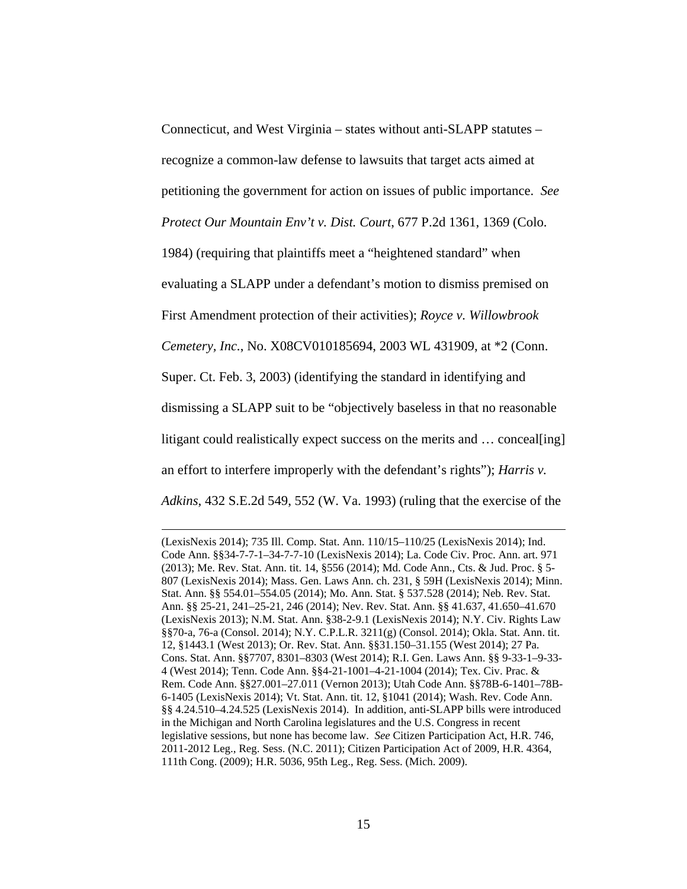Connecticut, and West Virginia – states without anti-SLAPP statutes – recognize a common-law defense to lawsuits that target acts aimed at petitioning the government for action on issues of public importance. *See* 

*Protect Our Mountain Env't v. Dist. Court*, 677 P.2d 1361, 1369 (Colo.

1984) (requiring that plaintiffs meet a "heightened standard" when

evaluating a SLAPP under a defendant's motion to dismiss premised on

First Amendment protection of their activities); *Royce v. Willowbrook* 

*Cemetery, Inc.*, No. X08CV010185694, 2003 WL 431909, at \*2 (Conn.

Super. Ct. Feb. 3, 2003) (identifying the standard in identifying and

dismissing a SLAPP suit to be "objectively baseless in that no reasonable

litigant could realistically expect success on the merits and ... conceal [ing]

an effort to interfere improperly with the defendant's rights"); *Harris v.* 

*Adkins*, 432 S.E.2d 549, 552 (W. Va. 1993) (ruling that the exercise of the

<u> 1989 - Johann Stein, marwolaethau a bhann an t-Albann an t-Albann an t-Albann an t-Albann an t-Albann an t-Al</u>

<sup>(</sup>LexisNexis 2014); 735 Ill. Comp. Stat. Ann. 110/15–110/25 (LexisNexis 2014); Ind. Code Ann. §§34-7-7-1–34-7-7-10 (LexisNexis 2014); La. Code Civ. Proc. Ann. art. 971 (2013); Me. Rev. Stat. Ann. tit. 14, §556 (2014); Md. Code Ann., Cts. & Jud. Proc. § 5- 807 (LexisNexis 2014); Mass. Gen. Laws Ann. ch. 231, § 59H (LexisNexis 2014); Minn. Stat. Ann. §§ 554.01–554.05 (2014); Mo. Ann. Stat. § 537.528 (2014); Neb. Rev. Stat. Ann. §§ 25-21, 241–25-21, 246 (2014); Nev. Rev. Stat. Ann. §§ 41.637, 41.650–41.670 (LexisNexis 2013); N.M. Stat. Ann. §38-2-9.1 (LexisNexis 2014); N.Y. Civ. Rights Law §§70-a, 76-a (Consol. 2014); N.Y. C.P.L.R. 3211(g) (Consol. 2014); Okla. Stat. Ann. tit. 12, §1443.1 (West 2013); Or. Rev. Stat. Ann. §§31.150–31.155 (West 2014); 27 Pa. Cons. Stat. Ann. §§7707, 8301–8303 (West 2014); R.I. Gen. Laws Ann. §§ 9-33-1–9-33- 4 (West 2014); Tenn. Code Ann. §§4-21-1001–4-21-1004 (2014); Tex. Civ. Prac. & Rem. Code Ann. §§27.001–27.011 (Vernon 2013); Utah Code Ann. §§78B-6-1401–78B-6-1405 (LexisNexis 2014); Vt. Stat. Ann. tit. 12, §1041 (2014); Wash. Rev. Code Ann. §§ 4.24.510–4.24.525 (LexisNexis 2014). In addition, anti-SLAPP bills were introduced in the Michigan and North Carolina legislatures and the U.S. Congress in recent legislative sessions, but none has become law. *See* Citizen Participation Act, H.R. 746, 2011-2012 Leg., Reg. Sess. (N.C. 2011); Citizen Participation Act of 2009, H.R. 4364, 111th Cong. (2009); H.R. 5036, 95th Leg., Reg. Sess. (Mich. 2009).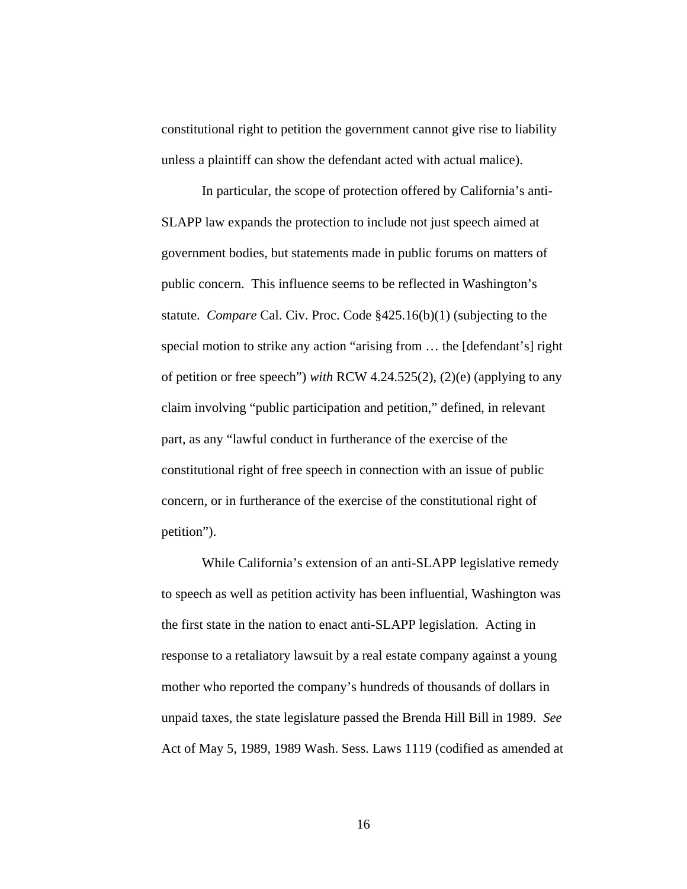constitutional right to petition the government cannot give rise to liability unless a plaintiff can show the defendant acted with actual malice).

 In particular, the scope of protection offered by California's anti-SLAPP law expands the protection to include not just speech aimed at government bodies, but statements made in public forums on matters of public concern. This influence seems to be reflected in Washington's statute. *Compare* Cal. Civ. Proc. Code §425.16(b)(1) (subjecting to the special motion to strike any action "arising from … the [defendant's] right of petition or free speech") *with* RCW 4.24.525(2), (2)(e) (applying to any claim involving "public participation and petition," defined, in relevant part, as any "lawful conduct in furtherance of the exercise of the constitutional right of free speech in connection with an issue of public concern, or in furtherance of the exercise of the constitutional right of petition").

While California's extension of an anti-SLAPP legislative remedy to speech as well as petition activity has been influential, Washington was the first state in the nation to enact anti-SLAPP legislation. Acting in response to a retaliatory lawsuit by a real estate company against a young mother who reported the company's hundreds of thousands of dollars in unpaid taxes, the state legislature passed the Brenda Hill Bill in 1989. *See*  Act of May 5, 1989, 1989 Wash. Sess. Laws 1119 (codified as amended at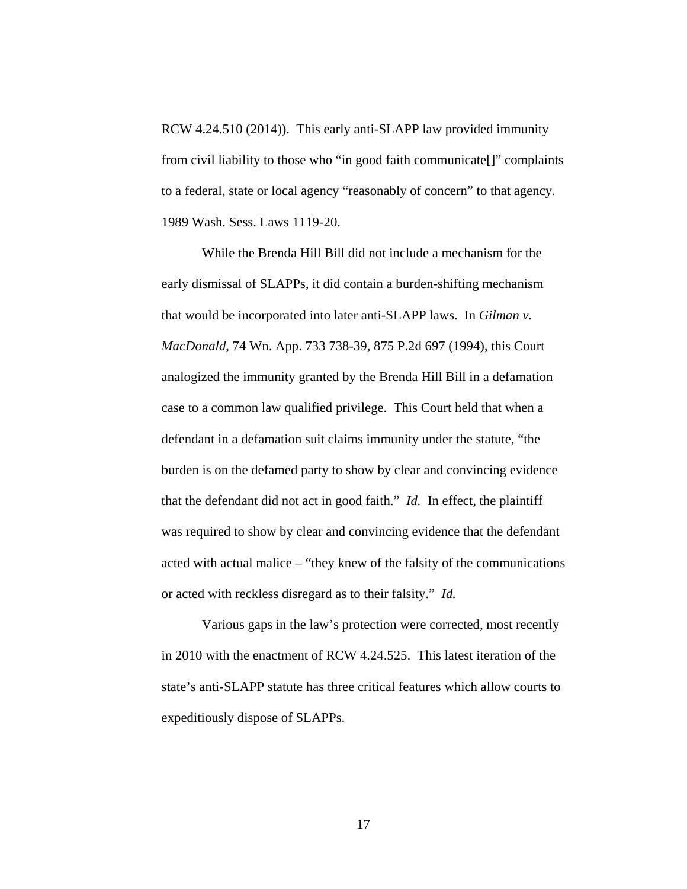RCW 4.24.510 (2014)). This early anti-SLAPP law provided immunity from civil liability to those who "in good faith communicate[]" complaints to a federal, state or local agency "reasonably of concern" to that agency. 1989 Wash. Sess. Laws 1119-20.

While the Brenda Hill Bill did not include a mechanism for the early dismissal of SLAPPs, it did contain a burden-shifting mechanism that would be incorporated into later anti-SLAPP laws. In *Gilman v. MacDonald*, 74 Wn. App. 733 738-39, 875 P.2d 697 (1994), this Court analogized the immunity granted by the Brenda Hill Bill in a defamation case to a common law qualified privilege. This Court held that when a defendant in a defamation suit claims immunity under the statute, "the burden is on the defamed party to show by clear and convincing evidence that the defendant did not act in good faith." *Id.* In effect, the plaintiff was required to show by clear and convincing evidence that the defendant acted with actual malice – "they knew of the falsity of the communications or acted with reckless disregard as to their falsity." *Id.*

Various gaps in the law's protection were corrected, most recently in 2010 with the enactment of RCW 4.24.525. This latest iteration of the state's anti-SLAPP statute has three critical features which allow courts to expeditiously dispose of SLAPPs.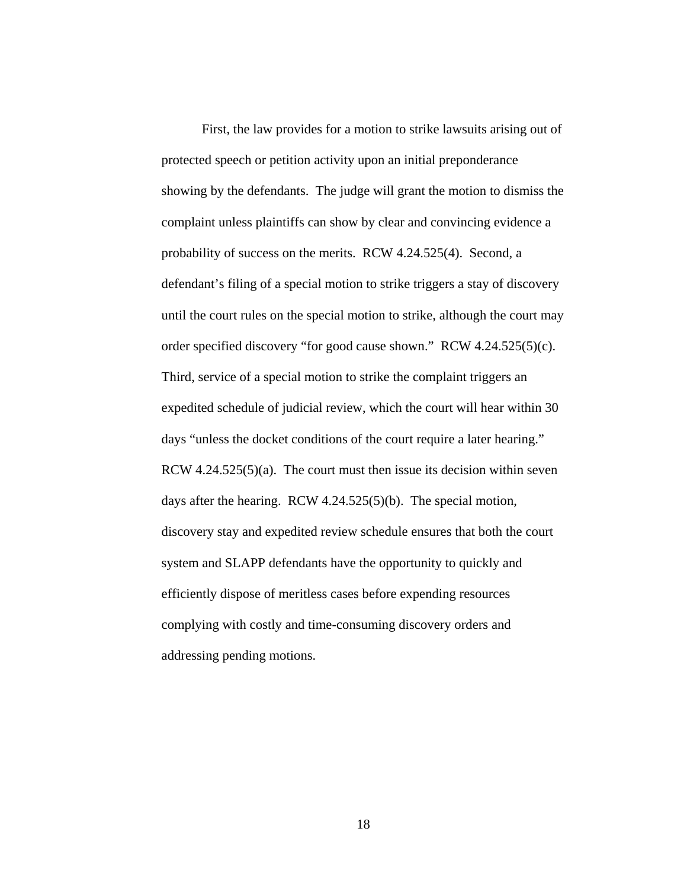First, the law provides for a motion to strike lawsuits arising out of protected speech or petition activity upon an initial preponderance showing by the defendants. The judge will grant the motion to dismiss the complaint unless plaintiffs can show by clear and convincing evidence a probability of success on the merits. RCW 4.24.525(4). Second, a defendant's filing of a special motion to strike triggers a stay of discovery until the court rules on the special motion to strike, although the court may order specified discovery "for good cause shown." RCW 4.24.525(5)(c). Third, service of a special motion to strike the complaint triggers an expedited schedule of judicial review, which the court will hear within 30 days "unless the docket conditions of the court require a later hearing." RCW  $4.24.525(5)(a)$ . The court must then issue its decision within seven days after the hearing. RCW 4.24.525(5)(b). The special motion, discovery stay and expedited review schedule ensures that both the court system and SLAPP defendants have the opportunity to quickly and efficiently dispose of meritless cases before expending resources complying with costly and time-consuming discovery orders and addressing pending motions.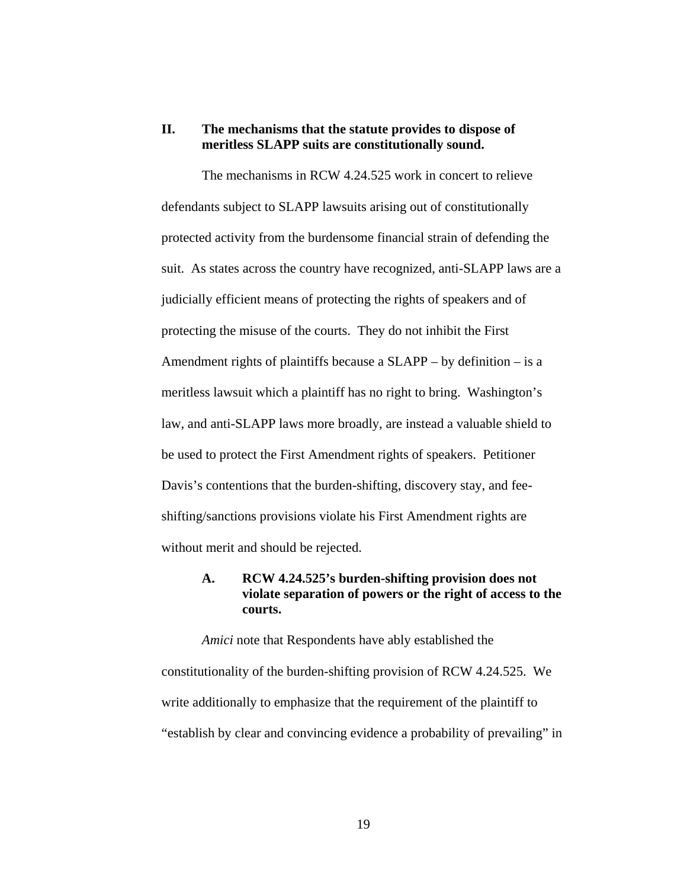## **II. The mechanisms that the statute provides to dispose of meritless SLAPP suits are constitutionally sound.**

The mechanisms in RCW 4.24.525 work in concert to relieve defendants subject to SLAPP lawsuits arising out of constitutionally protected activity from the burdensome financial strain of defending the suit. As states across the country have recognized, anti-SLAPP laws are a judicially efficient means of protecting the rights of speakers and of protecting the misuse of the courts. They do not inhibit the First Amendment rights of plaintiffs because a SLAPP – by definition – is a meritless lawsuit which a plaintiff has no right to bring. Washington's law, and anti-SLAPP laws more broadly, are instead a valuable shield to be used to protect the First Amendment rights of speakers. Petitioner Davis's contentions that the burden-shifting, discovery stay, and feeshifting/sanctions provisions violate his First Amendment rights are without merit and should be rejected.

## **A. RCW 4.24.525's burden-shifting provision does not violate separation of powers or the right of access to the courts.**

*Amici* note that Respondents have ably established the constitutionality of the burden-shifting provision of RCW 4.24.525. We write additionally to emphasize that the requirement of the plaintiff to "establish by clear and convincing evidence a probability of prevailing" in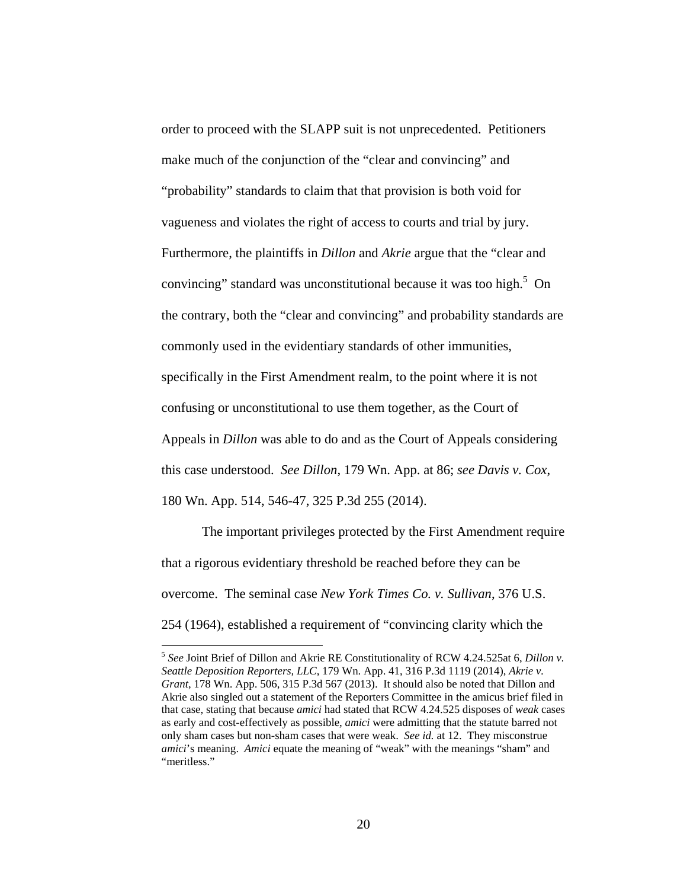order to proceed with the SLAPP suit is not unprecedented. Petitioners make much of the conjunction of the "clear and convincing" and "probability" standards to claim that that provision is both void for vagueness and violates the right of access to courts and trial by jury. Furthermore, the plaintiffs in *Dillon* and *Akrie* argue that the "clear and convincing" standard was unconstitutional because it was too high.<sup>5</sup> On the contrary, both the "clear and convincing" and probability standards are commonly used in the evidentiary standards of other immunities, specifically in the First Amendment realm, to the point where it is not confusing or unconstitutional to use them together, as the Court of Appeals in *Dillon* was able to do and as the Court of Appeals considering this case understood. *See Dillon*, 179 Wn. App. at 86; *see Davis v. Cox*, 180 Wn. App. 514, 546-47, 325 P.3d 255 (2014).

 The important privileges protected by the First Amendment require that a rigorous evidentiary threshold be reached before they can be overcome. The seminal case *New York Times Co. v. Sullivan*, 376 U.S. 254 (1964), established a requirement of "convincing clarity which the

<sup>5</sup> *See* Joint Brief of Dillon and Akrie RE Constitutionality of RCW 4.24.525at 6, *Dillon v. Seattle Deposition Reporters, LLC*, 179 Wn. App. 41, 316 P.3d 1119 (2014), *Akrie v. Grant*, 178 Wn. App. 506, 315 P.3d 567 (2013). It should also be noted that Dillon and Akrie also singled out a statement of the Reporters Committee in the amicus brief filed in that case, stating that because *amici* had stated that RCW 4.24.525 disposes of *weak* cases as early and cost-effectively as possible, *amici* were admitting that the statute barred not only sham cases but non-sham cases that were weak. *See id.* at 12. They misconstrue *amici*'s meaning. *Amici* equate the meaning of "weak" with the meanings "sham" and "meritless."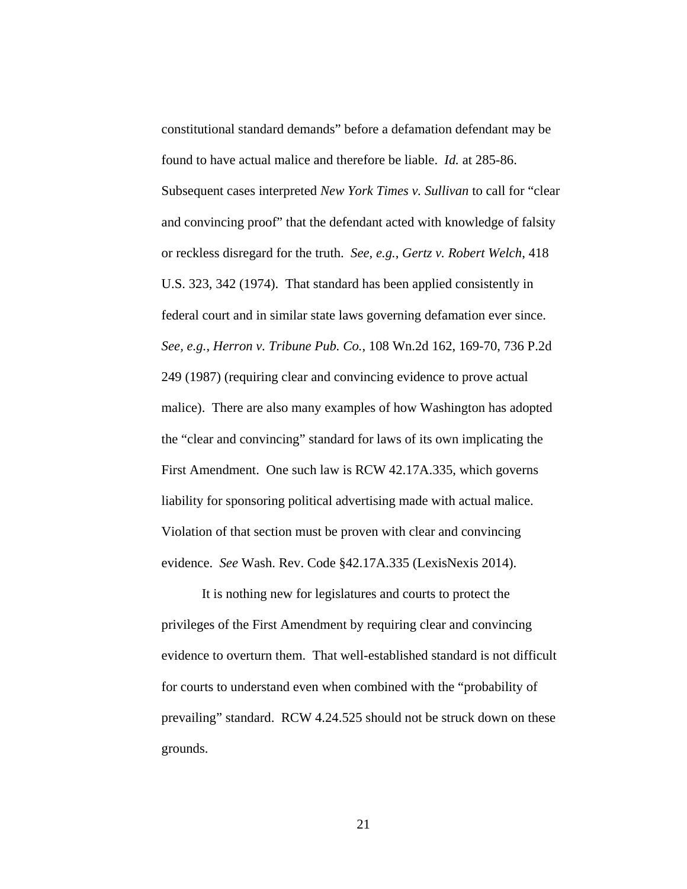constitutional standard demands" before a defamation defendant may be found to have actual malice and therefore be liable. *Id.* at 285-86. Subsequent cases interpreted *New York Times v. Sullivan* to call for "clear and convincing proof" that the defendant acted with knowledge of falsity or reckless disregard for the truth. *See, e.g.*, *Gertz v. Robert Welch*, 418 U.S. 323, 342 (1974). That standard has been applied consistently in federal court and in similar state laws governing defamation ever since. *See, e.g.*, *Herron v. Tribune Pub. Co.*, 108 Wn.2d 162, 169-70, 736 P.2d 249 (1987) (requiring clear and convincing evidence to prove actual malice). There are also many examples of how Washington has adopted the "clear and convincing" standard for laws of its own implicating the First Amendment. One such law is RCW 42.17A.335, which governs liability for sponsoring political advertising made with actual malice. Violation of that section must be proven with clear and convincing evidence. *See* Wash. Rev. Code §42.17A.335 (LexisNexis 2014).

 It is nothing new for legislatures and courts to protect the privileges of the First Amendment by requiring clear and convincing evidence to overturn them. That well-established standard is not difficult for courts to understand even when combined with the "probability of prevailing" standard. RCW 4.24.525 should not be struck down on these grounds.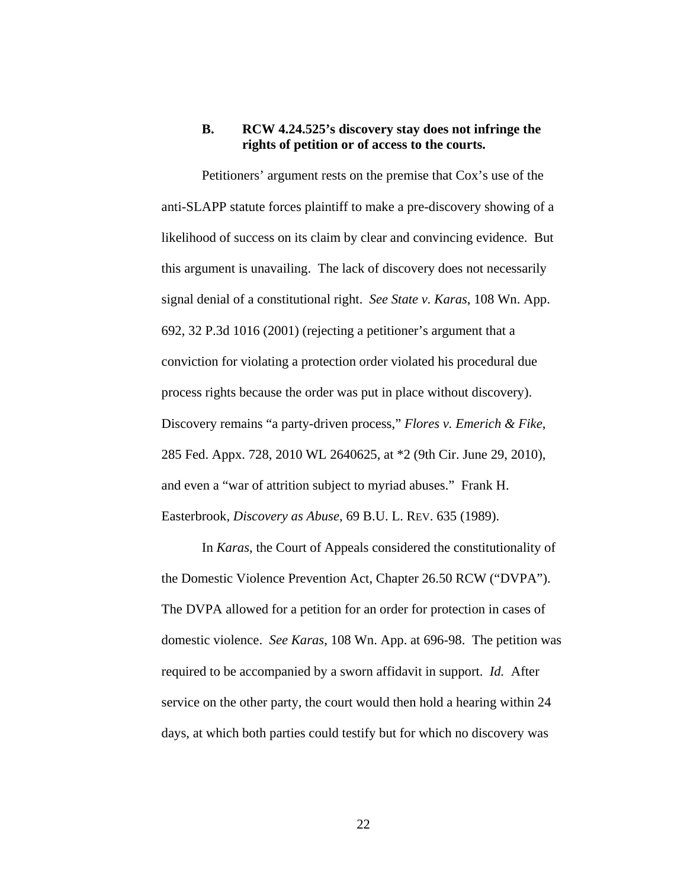## **B. RCW 4.24.525's discovery stay does not infringe the rights of petition or of access to the courts.**

Petitioners' argument rests on the premise that Cox's use of the anti-SLAPP statute forces plaintiff to make a pre-discovery showing of a likelihood of success on its claim by clear and convincing evidence. But this argument is unavailing. The lack of discovery does not necessarily signal denial of a constitutional right. *See State v. Karas*, 108 Wn. App. 692, 32 P.3d 1016 (2001) (rejecting a petitioner's argument that a conviction for violating a protection order violated his procedural due process rights because the order was put in place without discovery). Discovery remains "a party-driven process," *Flores v. Emerich & Fike*, 285 Fed. Appx. 728, 2010 WL 2640625, at \*2 (9th Cir. June 29, 2010), and even a "war of attrition subject to myriad abuses." Frank H. Easterbrook, *Discovery as Abuse*, 69 B.U. L. REV. 635 (1989).

In *Karas*, the Court of Appeals considered the constitutionality of the Domestic Violence Prevention Act, Chapter 26.50 RCW ("DVPA"). The DVPA allowed for a petition for an order for protection in cases of domestic violence. *See Karas*, 108 Wn. App. at 696-98. The petition was required to be accompanied by a sworn affidavit in support. *Id.* After service on the other party, the court would then hold a hearing within 24 days, at which both parties could testify but for which no discovery was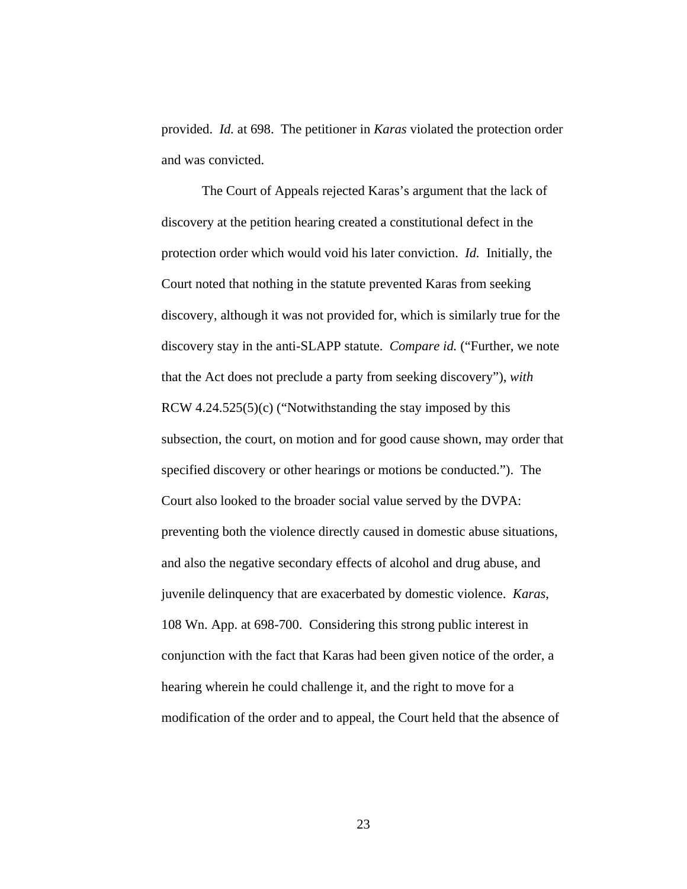provided. *Id.* at 698. The petitioner in *Karas* violated the protection order and was convicted.

The Court of Appeals rejected Karas's argument that the lack of discovery at the petition hearing created a constitutional defect in the protection order which would void his later conviction. *Id.* Initially, the Court noted that nothing in the statute prevented Karas from seeking discovery, although it was not provided for, which is similarly true for the discovery stay in the anti-SLAPP statute. *Compare id.* ("Further, we note that the Act does not preclude a party from seeking discovery"), *with* RCW 4.24.525(5)(c) ("Notwithstanding the stay imposed by this subsection, the court, on motion and for good cause shown, may order that specified discovery or other hearings or motions be conducted."). The Court also looked to the broader social value served by the DVPA: preventing both the violence directly caused in domestic abuse situations, and also the negative secondary effects of alcohol and drug abuse, and juvenile delinquency that are exacerbated by domestic violence. *Karas*, 108 Wn. App. at 698-700. Considering this strong public interest in conjunction with the fact that Karas had been given notice of the order, a hearing wherein he could challenge it, and the right to move for a modification of the order and to appeal, the Court held that the absence of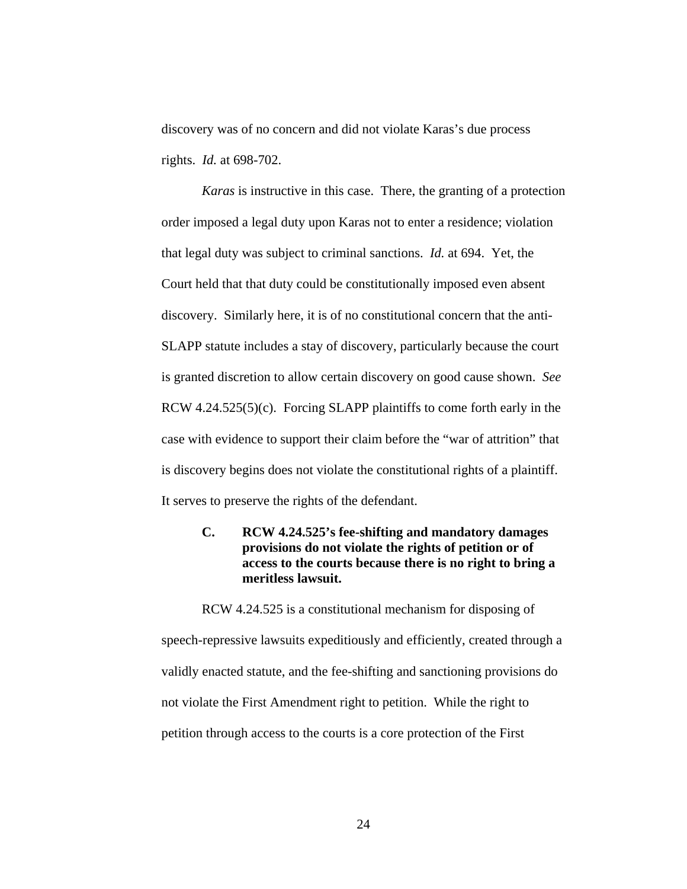discovery was of no concern and did not violate Karas's due process rights. *Id.* at 698-702.

*Karas* is instructive in this case. There, the granting of a protection order imposed a legal duty upon Karas not to enter a residence; violation that legal duty was subject to criminal sanctions. *Id.* at 694. Yet, the Court held that that duty could be constitutionally imposed even absent discovery. Similarly here, it is of no constitutional concern that the anti-SLAPP statute includes a stay of discovery, particularly because the court is granted discretion to allow certain discovery on good cause shown. *See*  RCW 4.24.525(5)(c). Forcing SLAPP plaintiffs to come forth early in the case with evidence to support their claim before the "war of attrition" that is discovery begins does not violate the constitutional rights of a plaintiff. It serves to preserve the rights of the defendant.

# **C. RCW 4.24.525's fee-shifting and mandatory damages provisions do not violate the rights of petition or of access to the courts because there is no right to bring a meritless lawsuit.**

RCW 4.24.525 is a constitutional mechanism for disposing of speech-repressive lawsuits expeditiously and efficiently, created through a validly enacted statute, and the fee-shifting and sanctioning provisions do not violate the First Amendment right to petition. While the right to petition through access to the courts is a core protection of the First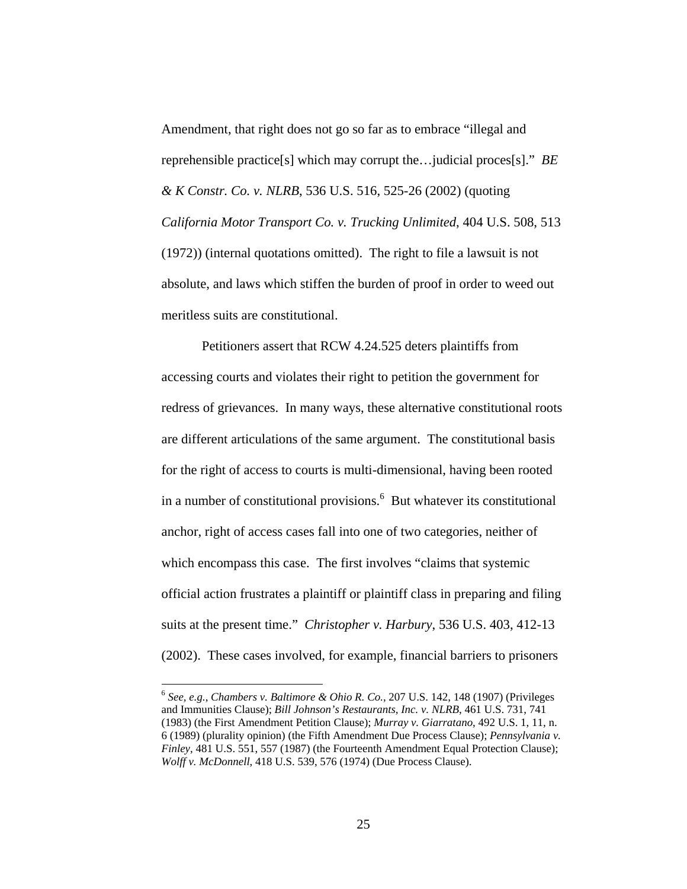Amendment, that right does not go so far as to embrace "illegal and reprehensible practice[s] which may corrupt the…judicial proces[s]." *BE & K Constr. Co. v. NLRB*, 536 U.S. 516, 525-26 (2002) (quoting *California Motor Transport Co. v. Trucking Unlimited*, 404 U.S. 508, 513 (1972)) (internal quotations omitted). The right to file a lawsuit is not absolute, and laws which stiffen the burden of proof in order to weed out meritless suits are constitutional.

 Petitioners assert that RCW 4.24.525 deters plaintiffs from accessing courts and violates their right to petition the government for redress of grievances. In many ways, these alternative constitutional roots are different articulations of the same argument. The constitutional basis for the right of access to courts is multi-dimensional, having been rooted in a number of constitutional provisions.<sup>6</sup> But whatever its constitutional anchor, right of access cases fall into one of two categories, neither of which encompass this case. The first involves "claims that systemic official action frustrates a plaintiff or plaintiff class in preparing and filing suits at the present time." *Christopher v. Harbury*, 536 U.S. 403, 412-13 (2002). These cases involved, for example, financial barriers to prisoners

<sup>6</sup> *See, e.g.*, *Chambers v. Baltimore & Ohio R. Co.*, 207 U.S. 142, 148 (1907) (Privileges and Immunities Clause); *Bill Johnson's Restaurants, Inc. v. NLRB*, 461 U.S. 731, 741 (1983) (the First Amendment Petition Clause); *Murray v. Giarratano*, 492 U.S. 1, 11, n. 6 (1989) (plurality opinion) (the Fifth Amendment Due Process Clause); *Pennsylvania v. Finley*, 481 U.S. 551, 557 (1987) (the Fourteenth Amendment Equal Protection Clause); *Wolff v. McDonnell*, 418 U.S. 539, 576 (1974) (Due Process Clause).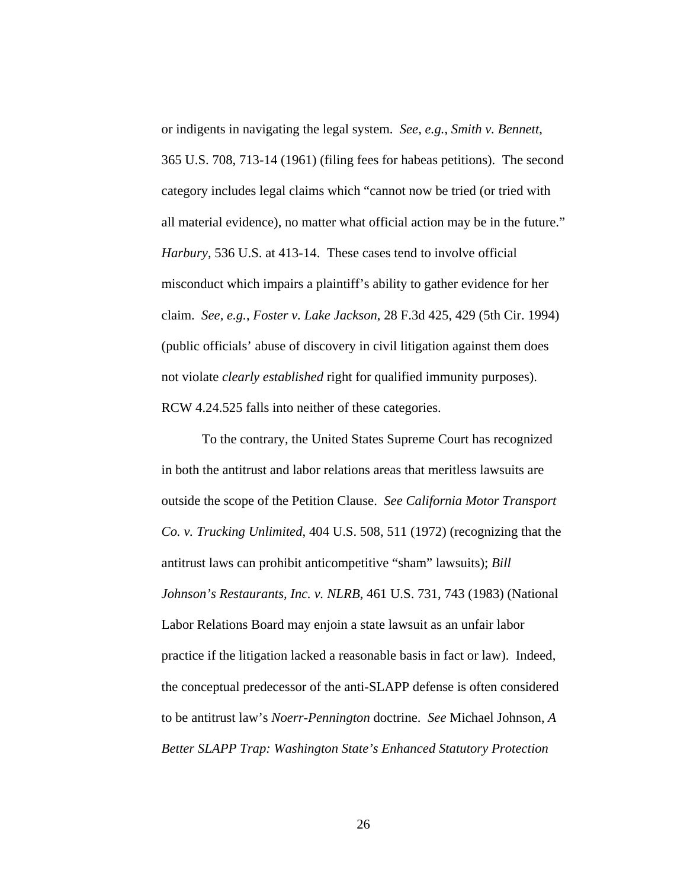or indigents in navigating the legal system. *See, e.g.*, *Smith v. Bennett*, 365 U.S. 708, 713-14 (1961) (filing fees for habeas petitions). The second category includes legal claims which "cannot now be tried (or tried with all material evidence), no matter what official action may be in the future." *Harbury*, 536 U.S. at 413-14. These cases tend to involve official misconduct which impairs a plaintiff's ability to gather evidence for her claim. *See, e.g.*, *Foster v. Lake Jackson*, 28 F.3d 425, 429 (5th Cir. 1994) (public officials' abuse of discovery in civil litigation against them does not violate *clearly established* right for qualified immunity purposes). RCW 4.24.525 falls into neither of these categories.

 To the contrary, the United States Supreme Court has recognized in both the antitrust and labor relations areas that meritless lawsuits are outside the scope of the Petition Clause. *See California Motor Transport Co. v. Trucking Unlimited*, 404 U.S. 508, 511 (1972) (recognizing that the antitrust laws can prohibit anticompetitive "sham" lawsuits); *Bill Johnson's Restaurants, Inc. v. NLRB*, 461 U.S. 731, 743 (1983) (National Labor Relations Board may enjoin a state lawsuit as an unfair labor practice if the litigation lacked a reasonable basis in fact or law). Indeed, the conceptual predecessor of the anti-SLAPP defense is often considered to be antitrust law's *Noerr-Pennington* doctrine. *See* Michael Johnson, *A Better SLAPP Trap: Washington State's Enhanced Statutory Protection*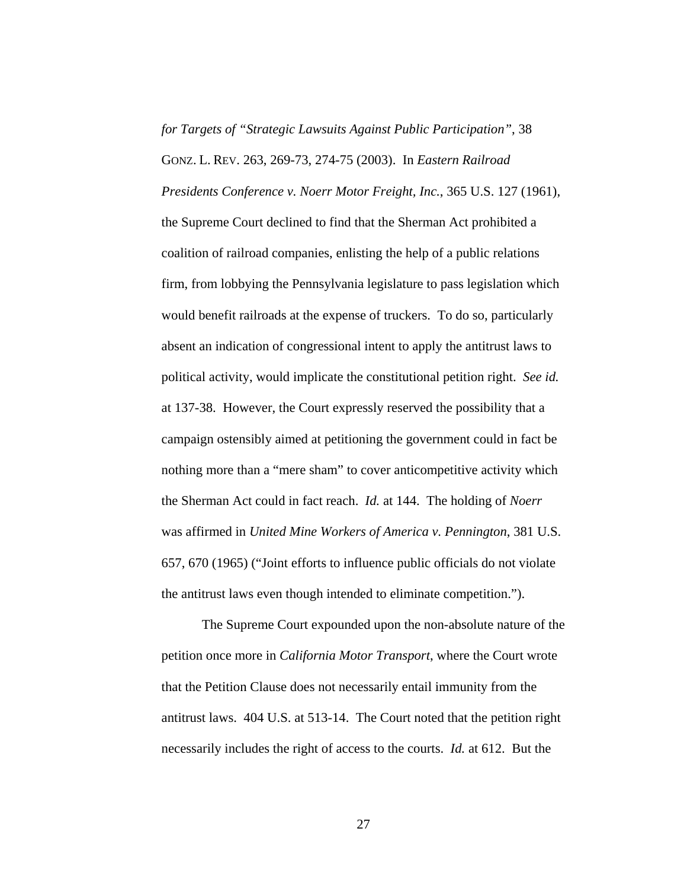*for Targets of "Strategic Lawsuits Against Public Participation"*, 38 GONZ. L. REV. 263, 269-73, 274-75 (2003). In *Eastern Railroad Presidents Conference v. Noerr Motor Freight, Inc.*, 365 U.S. 127 (1961), the Supreme Court declined to find that the Sherman Act prohibited a coalition of railroad companies, enlisting the help of a public relations firm, from lobbying the Pennsylvania legislature to pass legislation which would benefit railroads at the expense of truckers. To do so, particularly absent an indication of congressional intent to apply the antitrust laws to political activity, would implicate the constitutional petition right. *See id.* at 137-38. However, the Court expressly reserved the possibility that a campaign ostensibly aimed at petitioning the government could in fact be nothing more than a "mere sham" to cover anticompetitive activity which the Sherman Act could in fact reach. *Id.* at 144. The holding of *Noerr* was affirmed in *United Mine Workers of America v. Pennington*, 381 U.S. 657, 670 (1965) ("Joint efforts to influence public officials do not violate the antitrust laws even though intended to eliminate competition.").

 The Supreme Court expounded upon the non-absolute nature of the petition once more in *California Motor Transport*, where the Court wrote that the Petition Clause does not necessarily entail immunity from the antitrust laws. 404 U.S. at 513-14. The Court noted that the petition right necessarily includes the right of access to the courts. *Id.* at 612. But the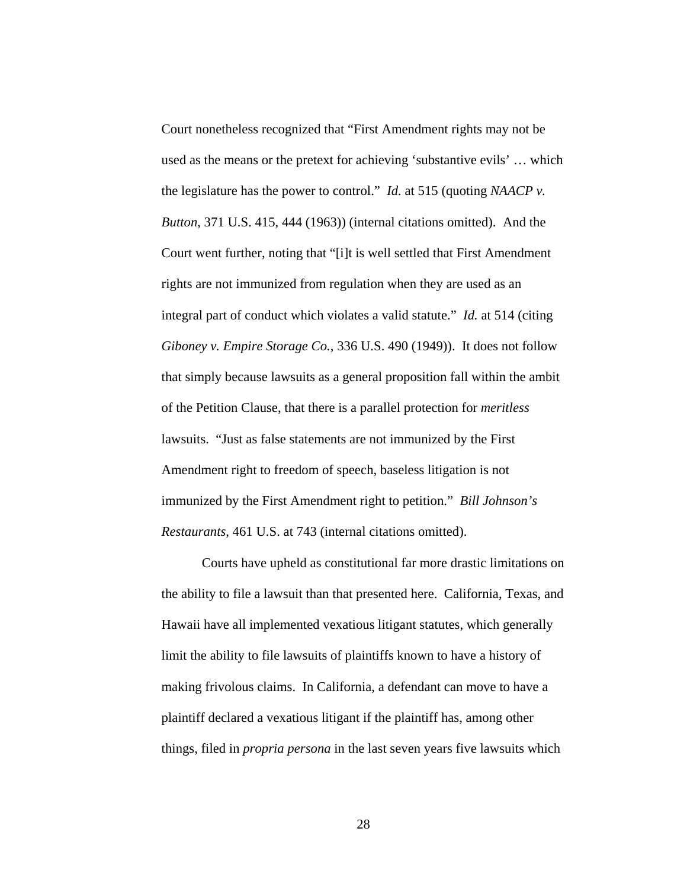Court nonetheless recognized that "First Amendment rights may not be used as the means or the pretext for achieving 'substantive evils' … which the legislature has the power to control." *Id.* at 515 (quoting *NAACP v. Button*, 371 U.S. 415, 444 (1963)) (internal citations omitted). And the Court went further, noting that "[i]t is well settled that First Amendment rights are not immunized from regulation when they are used as an integral part of conduct which violates a valid statute." *Id.* at 514 (citing *Giboney v. Empire Storage Co.*, 336 U.S. 490 (1949)). It does not follow that simply because lawsuits as a general proposition fall within the ambit of the Petition Clause, that there is a parallel protection for *meritless* lawsuits. "Just as false statements are not immunized by the First Amendment right to freedom of speech, baseless litigation is not immunized by the First Amendment right to petition." *Bill Johnson's Restaurants*, 461 U.S. at 743 (internal citations omitted).

 Courts have upheld as constitutional far more drastic limitations on the ability to file a lawsuit than that presented here. California, Texas, and Hawaii have all implemented vexatious litigant statutes, which generally limit the ability to file lawsuits of plaintiffs known to have a history of making frivolous claims. In California, a defendant can move to have a plaintiff declared a vexatious litigant if the plaintiff has, among other things, filed in *propria persona* in the last seven years five lawsuits which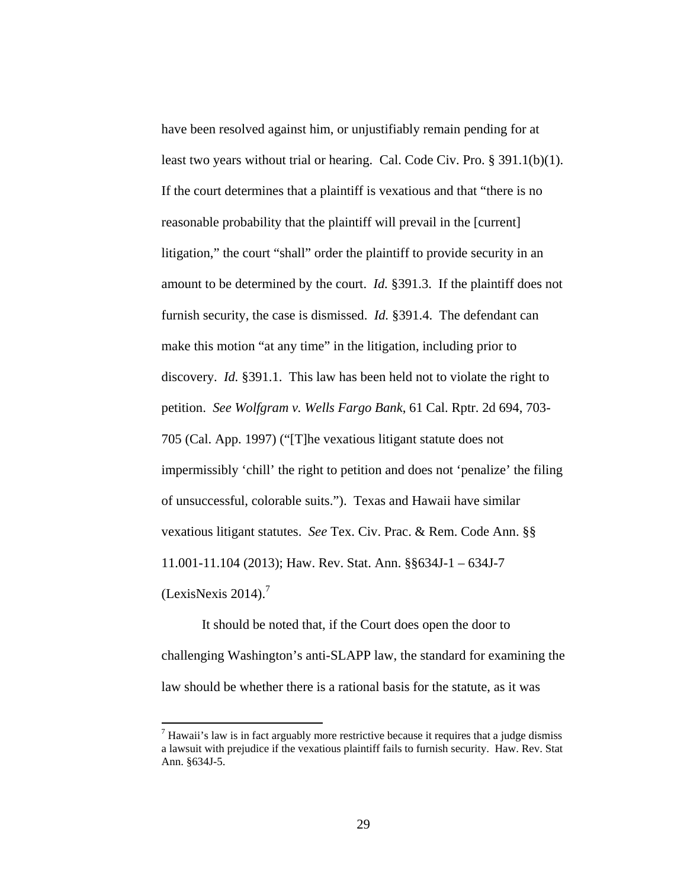have been resolved against him, or unjustifiably remain pending for at least two years without trial or hearing. Cal. Code Civ. Pro. § 391.1(b)(1). If the court determines that a plaintiff is vexatious and that "there is no reasonable probability that the plaintiff will prevail in the [current] litigation," the court "shall" order the plaintiff to provide security in an amount to be determined by the court. *Id.* §391.3. If the plaintiff does not furnish security, the case is dismissed. *Id.* §391.4. The defendant can make this motion "at any time" in the litigation, including prior to discovery. *Id.* §391.1. This law has been held not to violate the right to petition. *See Wolfgram v. Wells Fargo Bank*, 61 Cal. Rptr. 2d 694, 703- 705 (Cal. App. 1997) ("[T]he vexatious litigant statute does not impermissibly 'chill' the right to petition and does not 'penalize' the filing of unsuccessful, colorable suits."). Texas and Hawaii have similar vexatious litigant statutes. *See* Tex. Civ. Prac. & Rem. Code Ann. §§ 11.001-11.104 (2013); Haw. Rev. Stat. Ann. §§634J-1 – 634J-7 (LexisNexis 2014). $<sup>7</sup>$ </sup>

 It should be noted that, if the Court does open the door to challenging Washington's anti-SLAPP law, the standard for examining the law should be whether there is a rational basis for the statute, as it was

 $<sup>7</sup>$  Hawaii's law is in fact arguably more restrictive because it requires that a judge dismiss</sup> a lawsuit with prejudice if the vexatious plaintiff fails to furnish security. Haw. Rev. Stat Ann. §634J-5.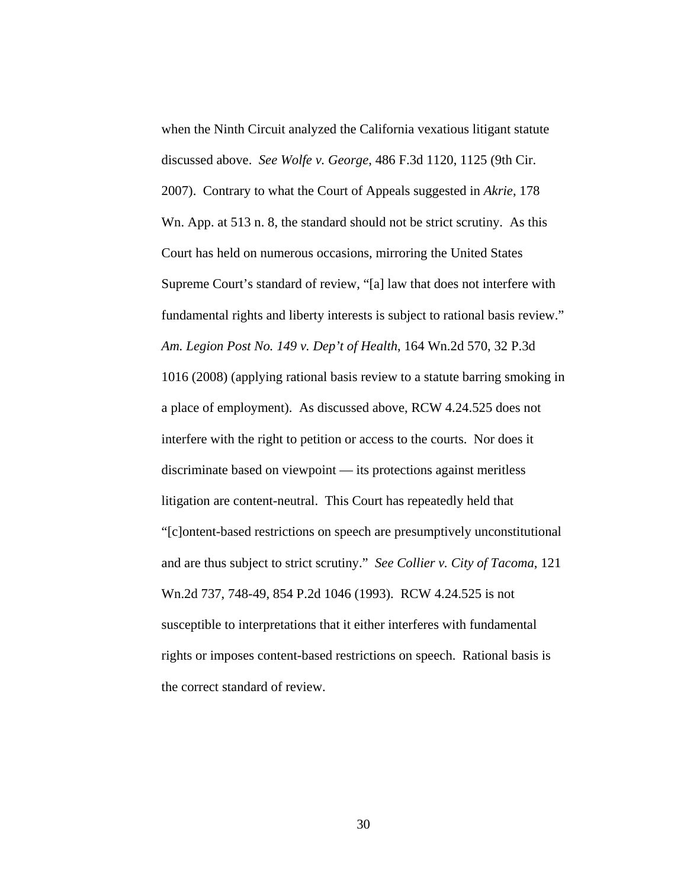when the Ninth Circuit analyzed the California vexatious litigant statute discussed above. *See Wolfe v. George*, 486 F.3d 1120, 1125 (9th Cir. 2007). Contrary to what the Court of Appeals suggested in *Akrie*, 178 Wn. App. at 513 n. 8, the standard should not be strict scrutiny. As this Court has held on numerous occasions, mirroring the United States Supreme Court's standard of review, "[a] law that does not interfere with fundamental rights and liberty interests is subject to rational basis review." *Am. Legion Post No. 149 v. Dep't of Health*, 164 Wn.2d 570, 32 P.3d 1016 (2008) (applying rational basis review to a statute barring smoking in a place of employment). As discussed above, RCW 4.24.525 does not interfere with the right to petition or access to the courts. Nor does it discriminate based on viewpoint — its protections against meritless litigation are content-neutral. This Court has repeatedly held that "[c]ontent-based restrictions on speech are presumptively unconstitutional and are thus subject to strict scrutiny." *See Collier v. City of Tacoma*, 121 Wn.2d 737, 748-49, 854 P.2d 1046 (1993). RCW 4.24.525 is not susceptible to interpretations that it either interferes with fundamental rights or imposes content-based restrictions on speech. Rational basis is the correct standard of review.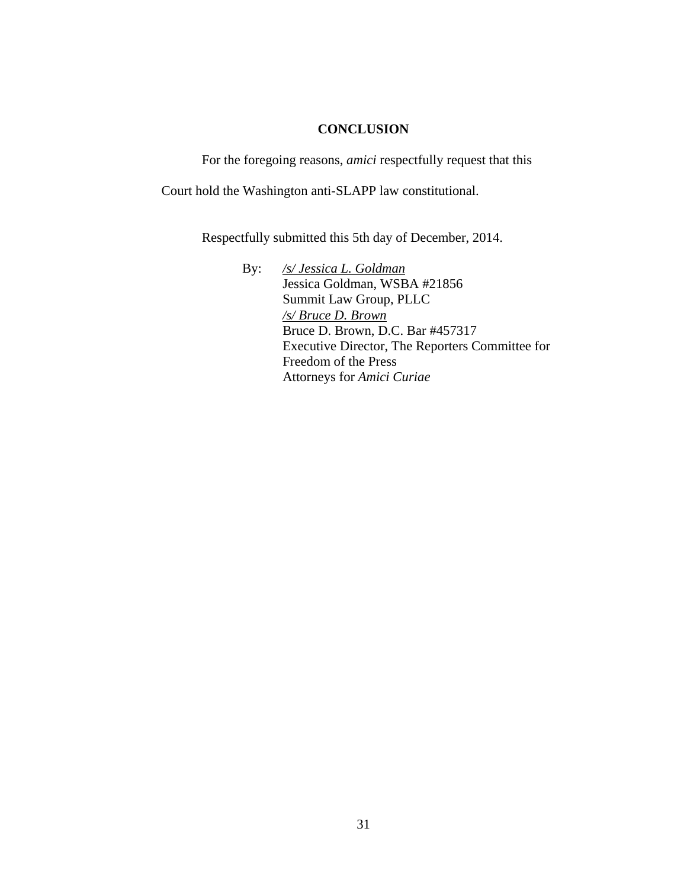### **CONCLUSION**

For the foregoing reasons, *amici* respectfully request that this

Court hold the Washington anti-SLAPP law constitutional.

Respectfully submitted this 5th day of December, 2014.

By: */s/ Jessica L. Goldman* Jessica Goldman, WSBA #21856 Summit Law Group, PLLC */s/ Bruce D. Brown* Bruce D. Brown, D.C. Bar #457317 Executive Director, The Reporters Committee for Freedom of the Press Attorneys for *Amici Curiae*